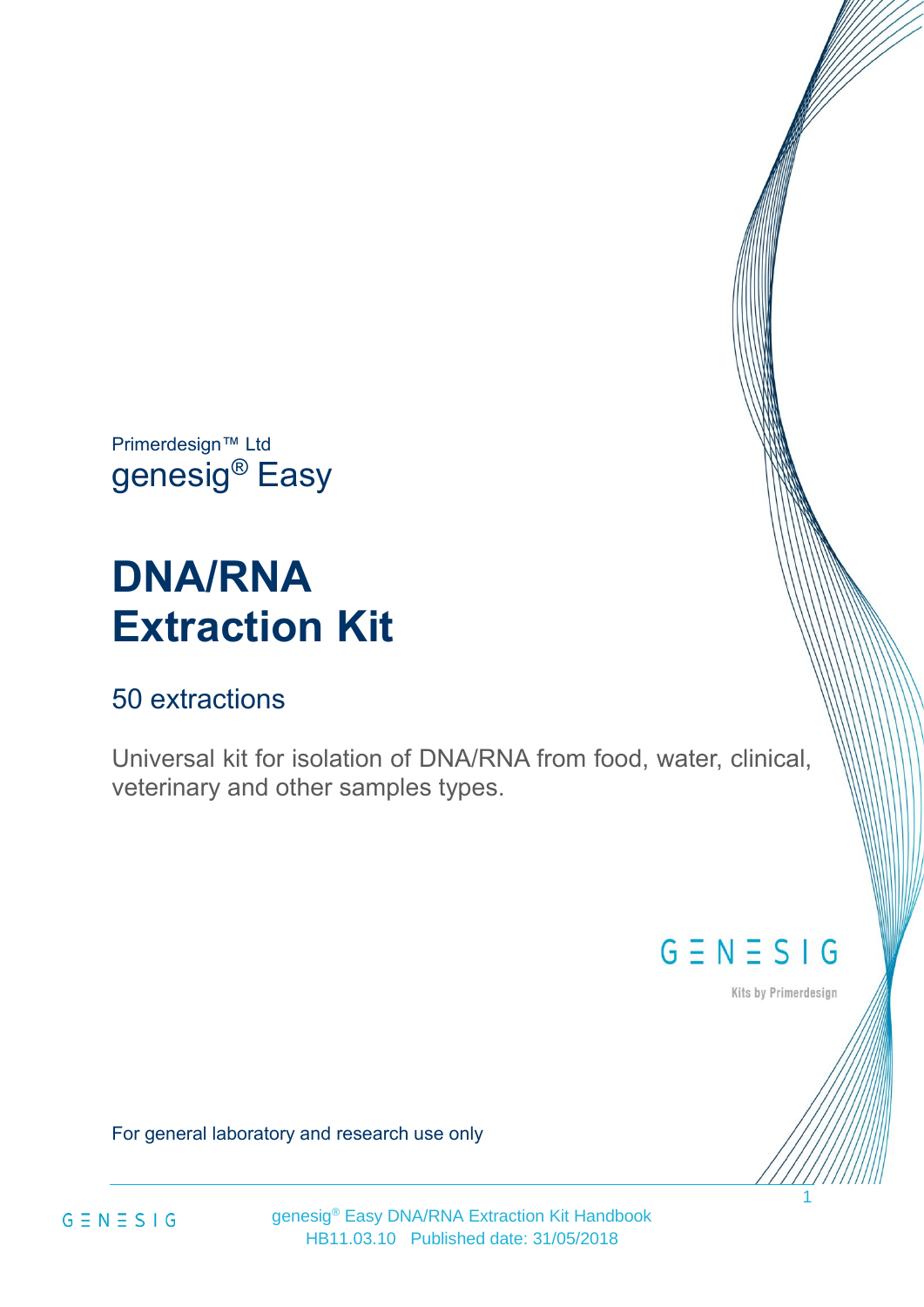Primerdesign™ Ltd genesig® Easy

# **DNA/RNA Extraction Kit**

## 50 extractions

Universal kit for isolation of DNA/RNA from food, water, clinical, veterinary and other samples types.

## $G \equiv N \equiv S \mid G$

Kits by Primerdesign

1

For general laboratory and research use only



genesig® Easy DNA/RNA Extraction Kit Handbook HB11.03.10 Published date: 31/05/2018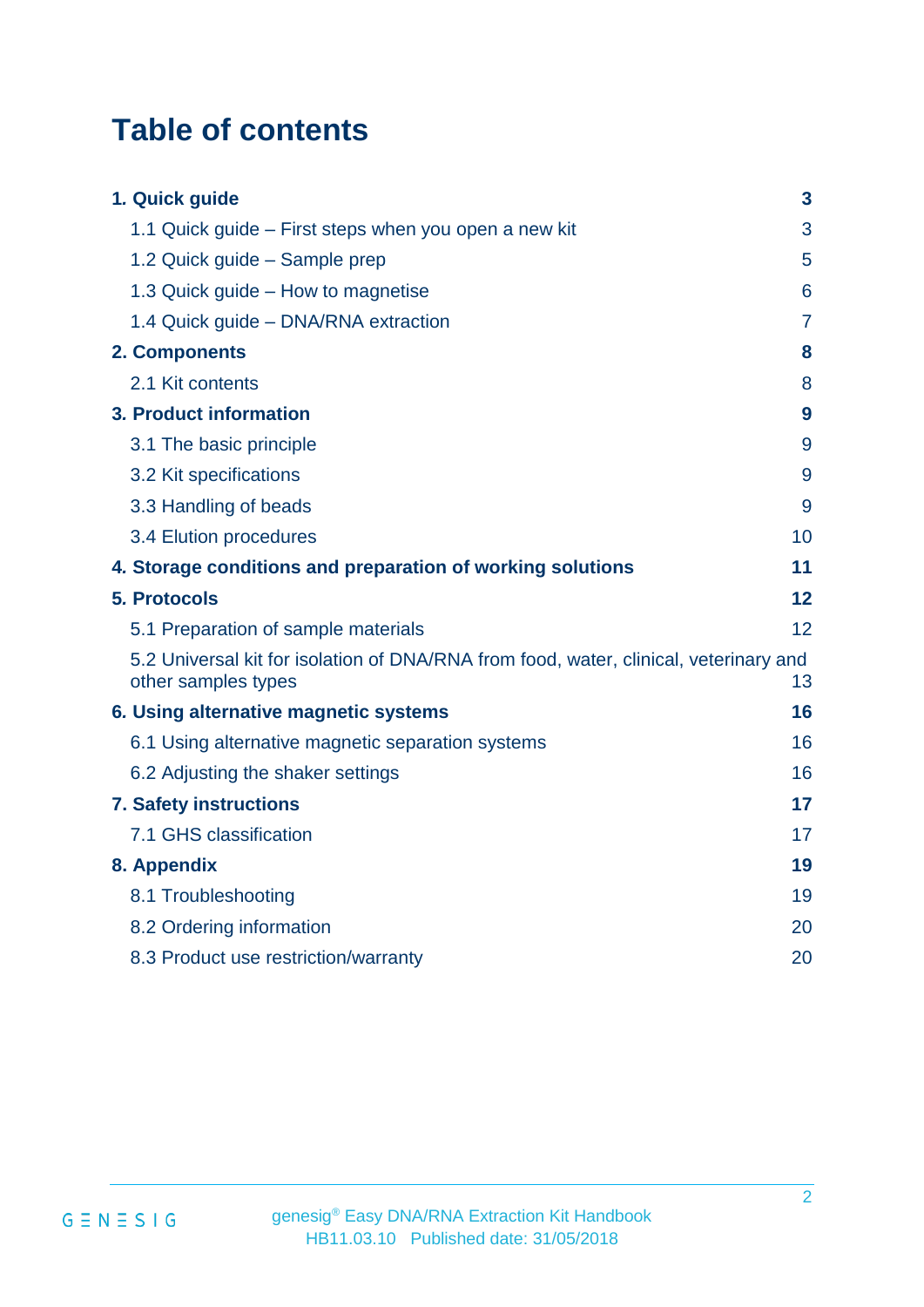## **Table of contents**

| 1. Quick guide                                                                                               | 3               |
|--------------------------------------------------------------------------------------------------------------|-----------------|
| 1.1 Quick guide – First steps when you open a new kit                                                        | 3               |
| 1.2 Quick guide - Sample prep                                                                                | 5               |
| 1.3 Quick guide – How to magnetise                                                                           | $6\phantom{1}6$ |
| 1.4 Quick guide - DNA/RNA extraction                                                                         | $\overline{7}$  |
| 2. Components                                                                                                | 8               |
| 2.1 Kit contents                                                                                             | 8               |
| 3. Product information                                                                                       | 9               |
| 3.1 The basic principle                                                                                      | 9               |
| 3.2 Kit specifications                                                                                       | 9               |
| 3.3 Handling of beads                                                                                        | 9               |
| 3.4 Elution procedures                                                                                       | 10              |
| 4. Storage conditions and preparation of working solutions                                                   | 11              |
| <b>5. Protocols</b>                                                                                          | 12              |
| 5.1 Preparation of sample materials                                                                          | 12              |
| 5.2 Universal kit for isolation of DNA/RNA from food, water, clinical, veterinary and<br>other samples types | 13              |
| 6. Using alternative magnetic systems                                                                        | 16              |
| 6.1 Using alternative magnetic separation systems                                                            | 16              |
| 6.2 Adjusting the shaker settings                                                                            | 16              |
| <b>7. Safety instructions</b>                                                                                | 17              |
| 7.1 GHS classification                                                                                       | 17              |
| 8. Appendix                                                                                                  | 19              |
| 8.1 Troubleshooting                                                                                          | 19              |
| 8.2 Ordering information                                                                                     | 20              |
| 8.3 Product use restriction/warranty                                                                         | 20              |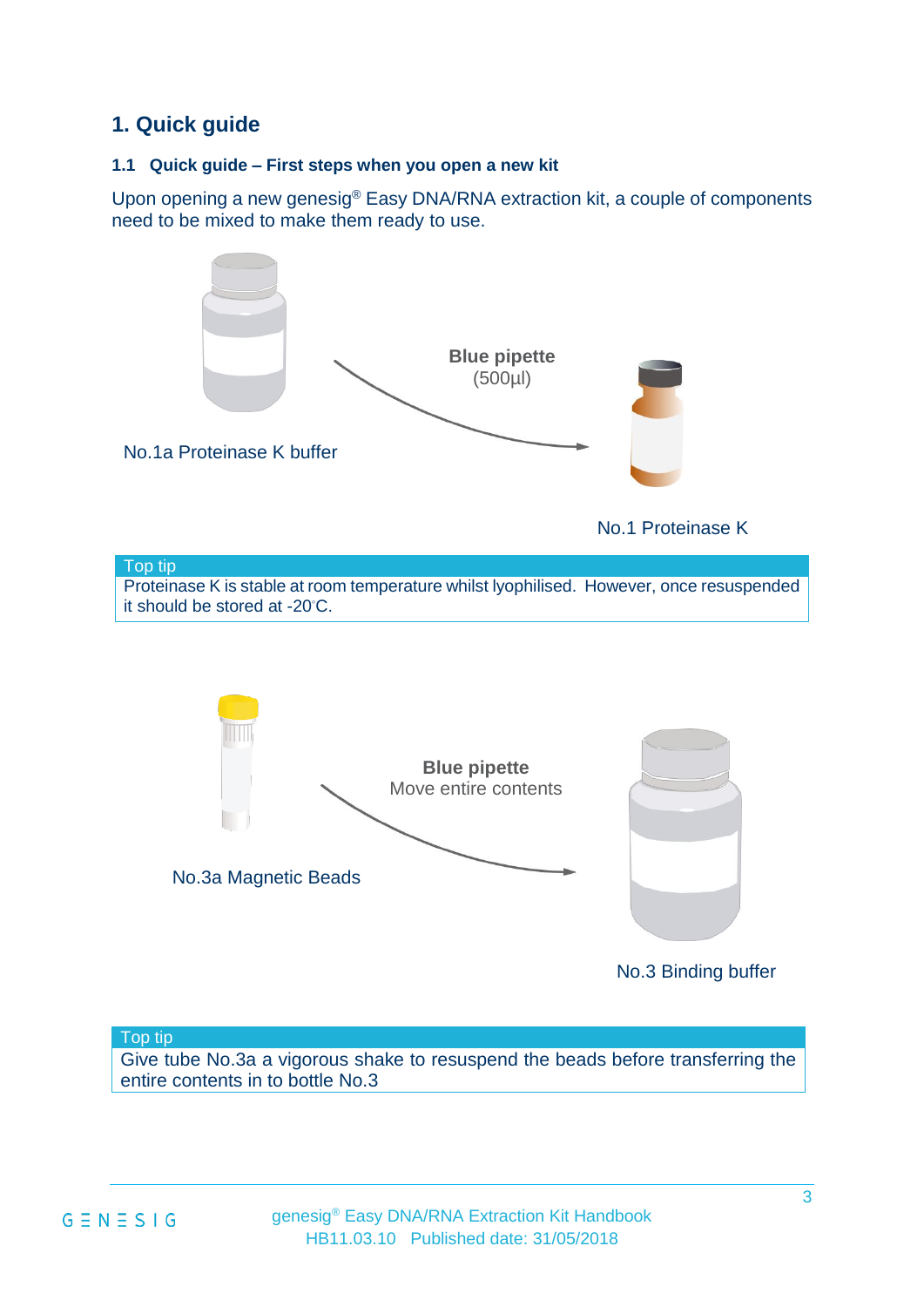## <span id="page-2-0"></span>**1. Quick guide**

#### <span id="page-2-1"></span>**1.1 Quick guide – First steps when you open a new kit**

Upon opening a new genesig® Easy DNA/RNA extraction kit, a couple of components need to be mixed to make them ready to use.



#### Top tip

Give tube No.3a a vigorous shake to resuspend the beads before transferring the entire contents in to bottle No.3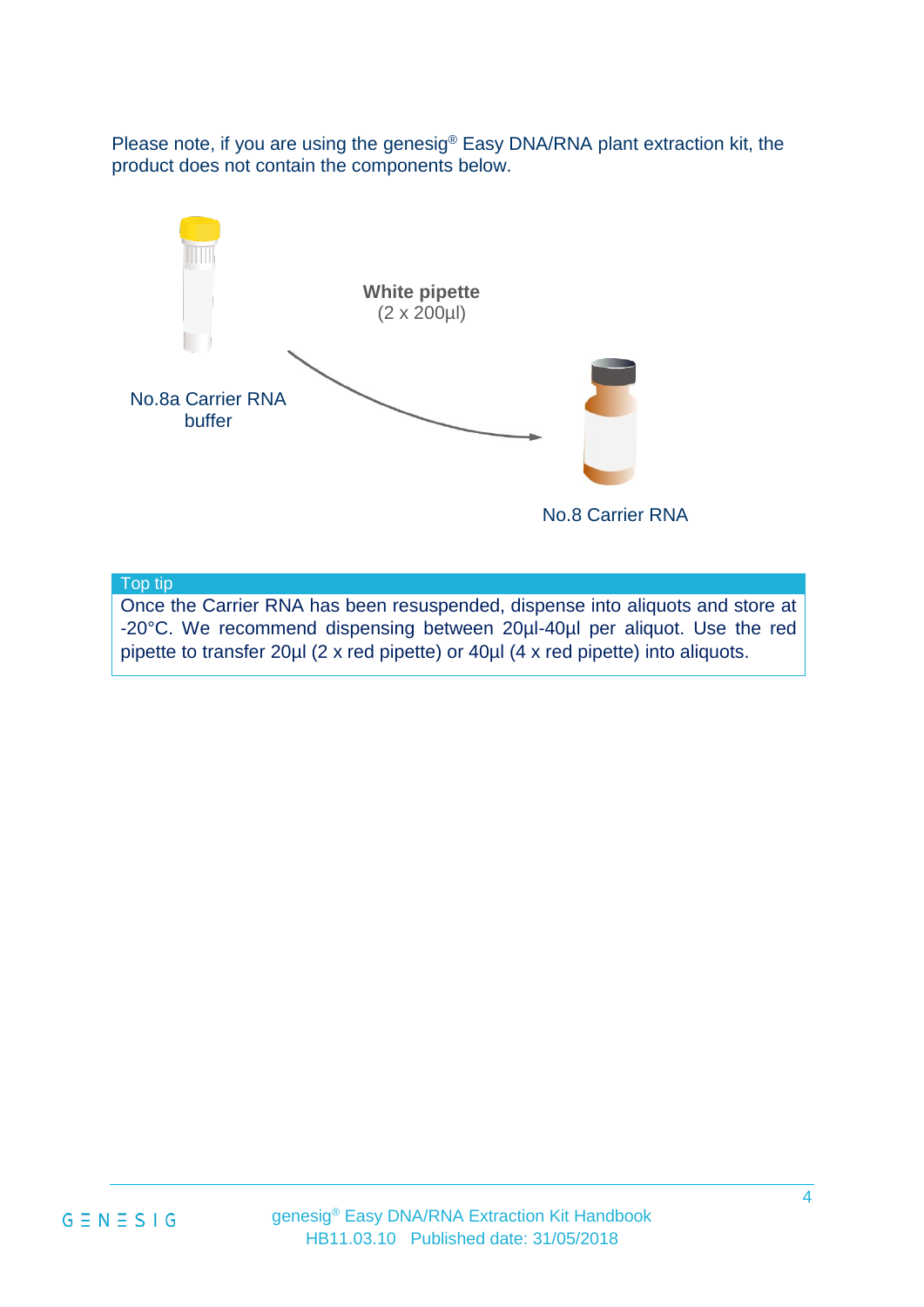Please note, if you are using the genesig® Easy DNA/RNA plant extraction kit, the product does not contain the components below.



Top tip

Once the Carrier RNA has been resuspended, dispense into aliquots and store at -20°C. We recommend dispensing between 20µl-40µl per aliquot. Use the red pipette to transfer 20µl (2 x red pipette) or 40µl (4 x red pipette) into aliquots.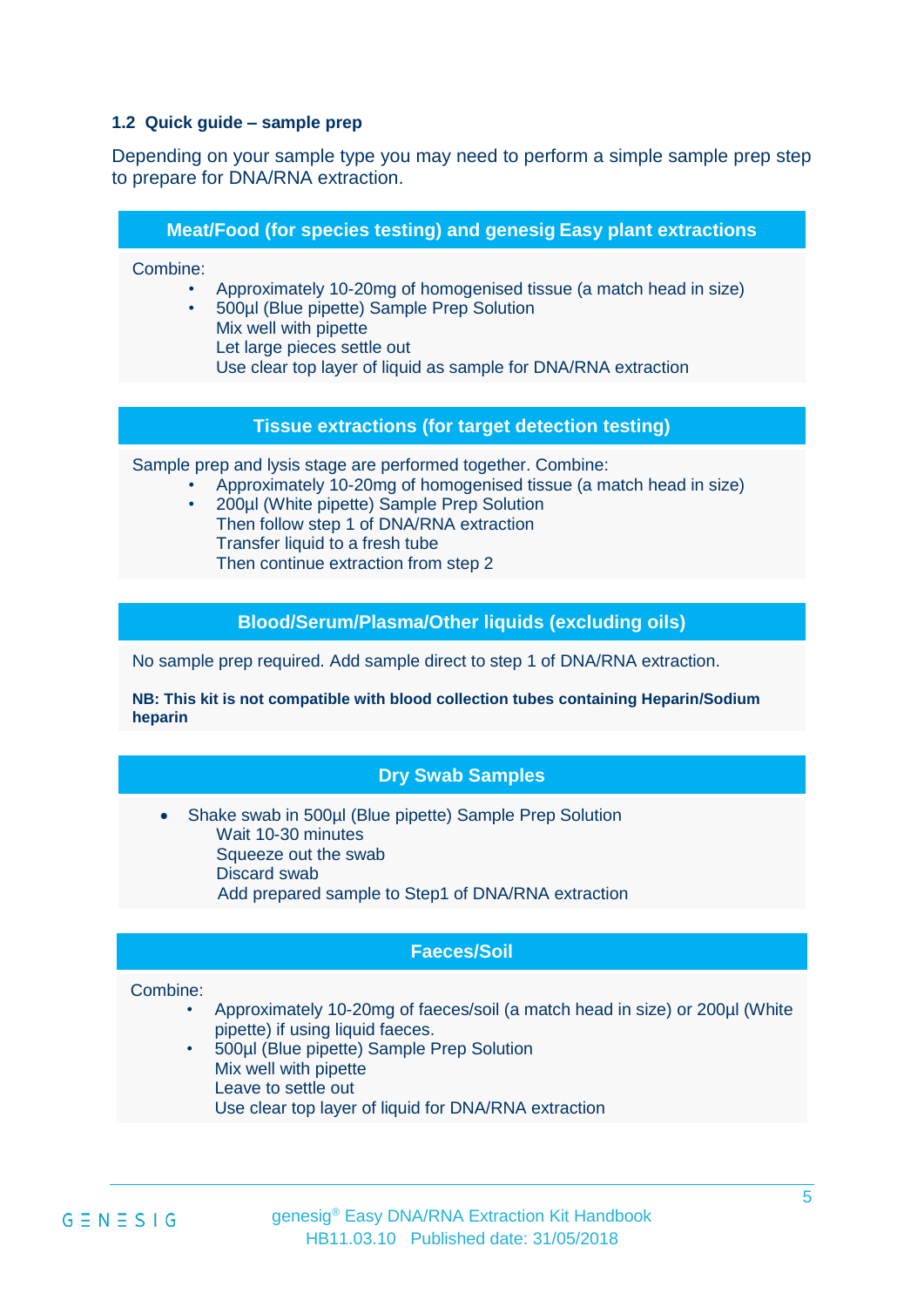#### <span id="page-4-0"></span>**1.2 Quick guide – sample prep**

Depending on your sample type you may need to perform a simple sample prep step to prepare for DNA/RNA extraction.

|  |  | <b>Meat/Food (for species testing) and genesig Easy plant extractions</b> |
|--|--|---------------------------------------------------------------------------|
|  |  |                                                                           |
|  |  |                                                                           |

Combine:

- Approximately 10-20mg of homogenised tissue (a match head in size)
	- 500µl (Blue pipette) Sample Prep Solution Mix well with pipette Let large pieces settle out Use clear top layer of liquid as sample for DNA/RNA extraction

#### **Tissue extractions (for target detection testing)**

Sample prep and lysis stage are performed together. Combine:

- Approximately 10-20mg of homogenised tissue (a match head in size)
- 200µl (White pipette) Sample Prep Solution Then follow step 1 of DNA/RNA extraction Transfer liquid to a fresh tube Then continue extraction from step 2

#### **Blood/Serum/Plasma/Other liquids (excluding oils)**

No sample prep required. Add sample direct to step 1 of DNA/RNA extraction.

**NB: This kit is not compatible with blood collection tubes containing Heparin/Sodium heparin**

#### **Dry Swab Samples**

• Shake swab in 500ul (Blue pipette) Sample Prep Solution Wait 10-30 minutes Squeeze out the swab Discard swab Add prepared sample to Step1 of DNA/RNA extraction

#### **Faeces/Soil**

#### Combine:

- Approximately 10-20mg of faeces/soil (a match head in size) or 200µl (White pipette) if using liquid faeces.
- 500µl (Blue pipette) Sample Prep Solution Mix well with pipette Leave to settle out Use clear top layer of liquid for DNA/RNA extraction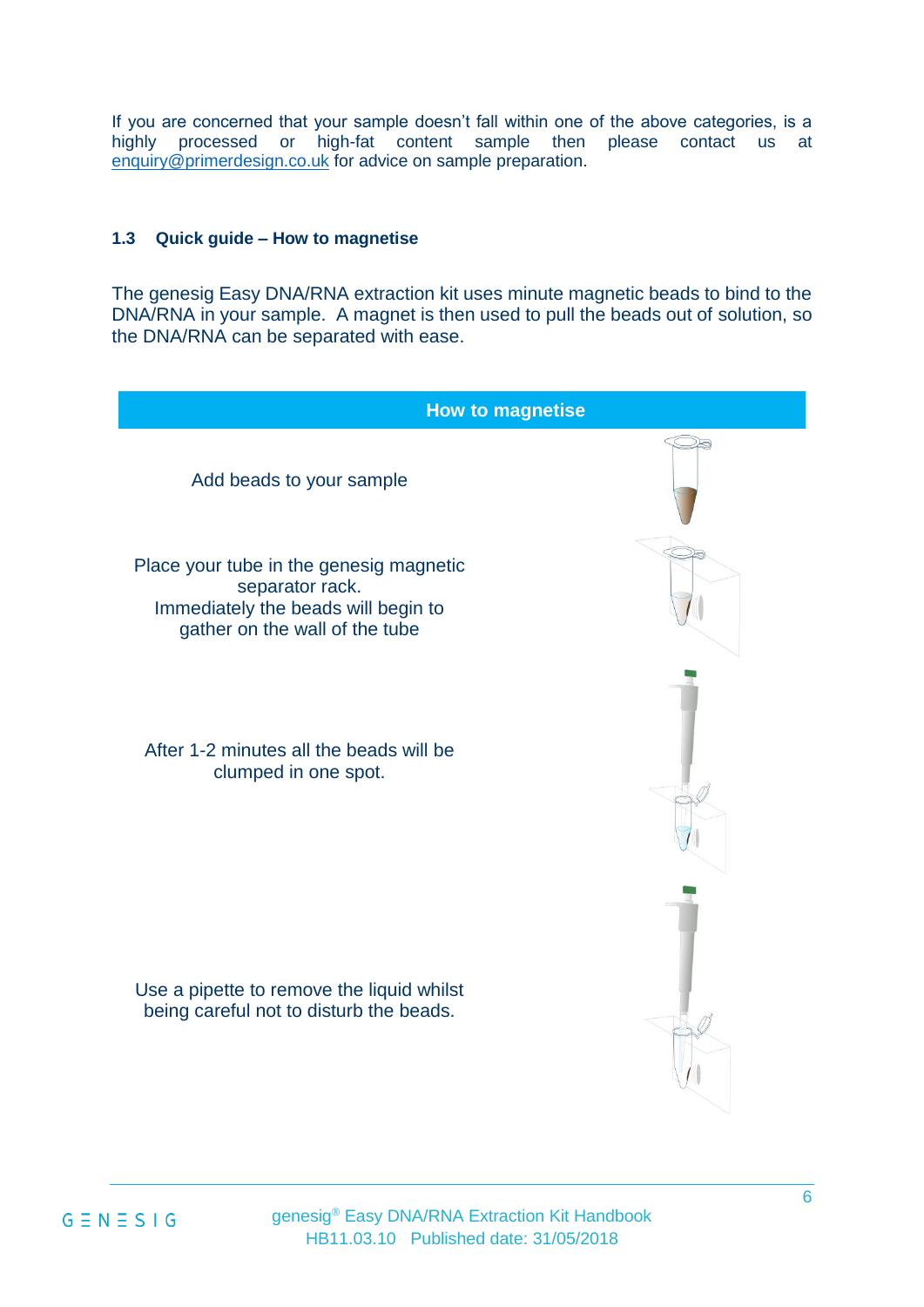If you are concerned that your sample doesn't fall within one of the above categories, is a highly processed or high-fat content sample then please contact us at [enquiry@primerdesign.co.uk](mailto:enquiry@primerdesign.co.uk) for advice on sample preparation.

#### <span id="page-5-0"></span>**1.3 Quick guide – How to magnetise**

The genesig Easy DNA/RNA extraction kit uses minute magnetic beads to bind to the DNA/RNA in your sample. A magnet is then used to pull the beads out of solution, so the DNA/RNA can be separated with ease.

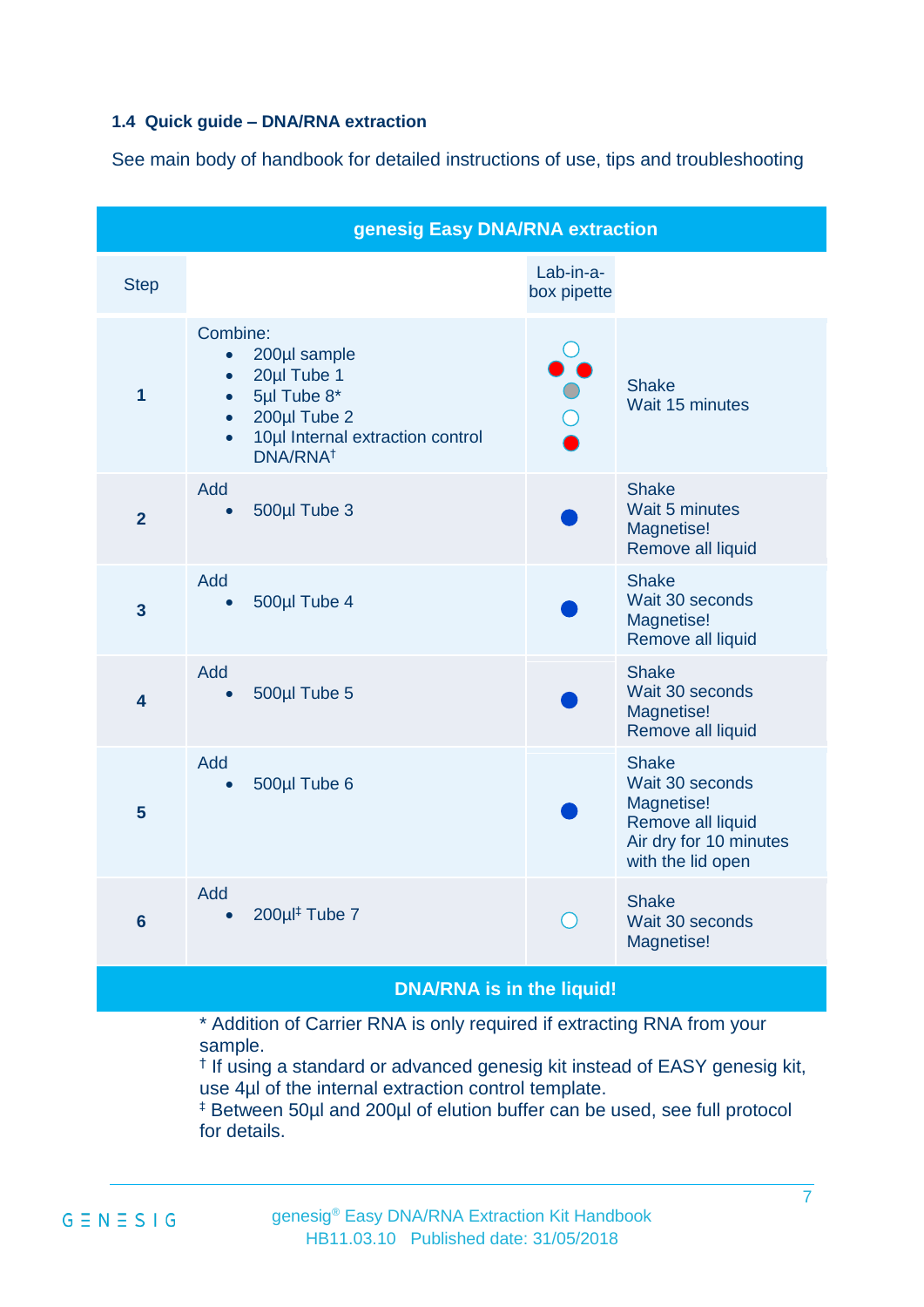#### <span id="page-6-0"></span>**1.4 Quick guide – DNA/RNA extraction**

See main body of handbook for detailed instructions of use, tips and troubleshooting

| <b>Step</b>             |                                                                                                                                                                                                     | Lab-in-a-<br>box pipette                    |                                                                                                                   |
|-------------------------|-----------------------------------------------------------------------------------------------------------------------------------------------------------------------------------------------------|---------------------------------------------|-------------------------------------------------------------------------------------------------------------------|
| 1                       | Combine:<br>200µl sample<br>$\bullet$<br>20µl Tube 1<br>$\bullet$<br>5µl Tube 8*<br>$\bullet$<br>200µl Tube 2<br>$\bullet$<br>10µl Internal extraction control<br>$\bullet$<br>DNA/RNA <sup>+</sup> |                                             | <b>Shake</b><br>Wait 15 minutes                                                                                   |
| $\overline{2}$          | Add<br>500µl Tube 3<br>$\bullet$                                                                                                                                                                    |                                             | <b>Shake</b><br>Wait 5 minutes<br>Magnetise!<br>Remove all liquid                                                 |
| $\overline{\mathbf{3}}$ | Add<br>500µl Tube 4<br>$\bullet$                                                                                                                                                                    |                                             | <b>Shake</b><br>Wait 30 seconds<br>Magnetise!<br>Remove all liquid                                                |
| 4                       | Add<br>500µl Tube 5<br>$\bullet$                                                                                                                                                                    |                                             | <b>Shake</b><br>Wait 30 seconds<br>Magnetise!<br>Remove all liquid                                                |
| 5                       | Add<br>500µl Tube 6                                                                                                                                                                                 |                                             | <b>Shake</b><br>Wait 30 seconds<br>Magnetise!<br>Remove all liquid<br>Air dry for 10 minutes<br>with the lid open |
| $6\phantom{1}6$         | Add<br>200µ <sup>#</sup> Tube 7                                                                                                                                                                     | $\left(\begin{array}{c} \end{array}\right)$ | <b>Shake</b><br>Wait 30 seconds<br>Magnetise!                                                                     |

#### the liquid!

\* Addition of Carrier RNA is only required if extracting RNA from your sample.

† If using a standard or advanced genesig kit instead of EASY genesig kit, use 4µl of the internal extraction control template.

‡ Between 50µl and 200µl of elution buffer can be used, see full protocol for details.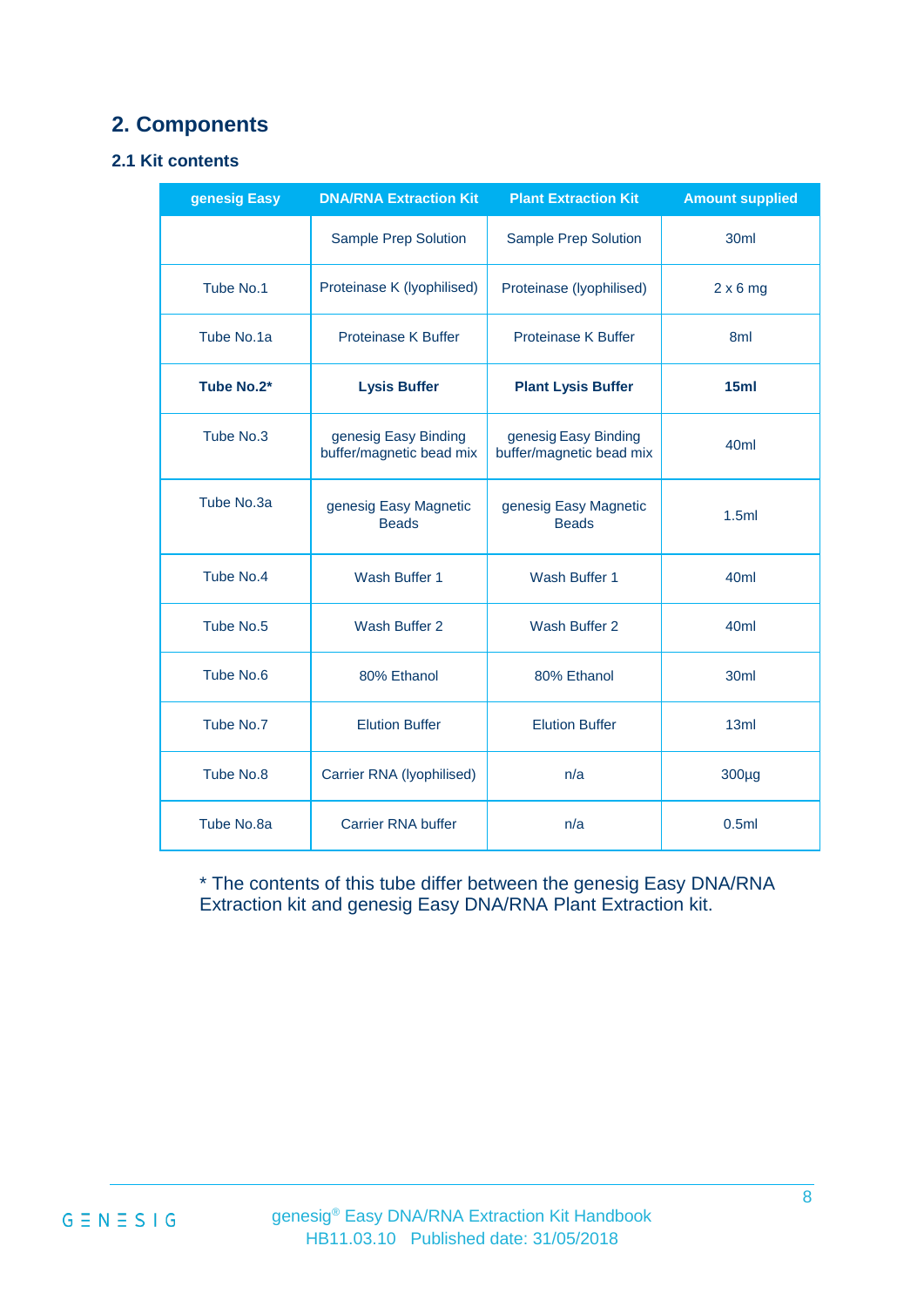## <span id="page-7-0"></span>**2. Components**

#### <span id="page-7-1"></span>**2.1 Kit contents**

| genesig Easy | <b>DNA/RNA Extraction Kit</b>                    | <b>Plant Extraction Kit</b>                      | <b>Amount supplied</b> |
|--------------|--------------------------------------------------|--------------------------------------------------|------------------------|
|              | <b>Sample Prep Solution</b>                      | <b>Sample Prep Solution</b>                      | 30 <sub>ml</sub>       |
| Tube No.1    | Proteinase K (lyophilised)                       | Proteinase (lyophilised)                         | $2 \times 6$ mg        |
| Tube No.1a   | <b>Proteinase K Buffer</b>                       | <b>Proteinase K Buffer</b>                       | 8 <sub>ml</sub>        |
| Tube No.2*   | <b>Lysis Buffer</b>                              | <b>Plant Lysis Buffer</b>                        | 15ml                   |
| Tube No.3    | genesig Easy Binding<br>buffer/magnetic bead mix | genesig Easy Binding<br>buffer/magnetic bead mix | 40 <sub>ml</sub>       |
| Tube No.3a   | genesig Easy Magnetic<br><b>Beads</b>            | genesig Easy Magnetic<br><b>Beads</b>            | 1.5ml                  |
| Tube No.4    | Wash Buffer 1                                    | Wash Buffer 1                                    | 40 <sub>ml</sub>       |
| Tube No.5    | Wash Buffer 2                                    | Wash Buffer 2                                    | 40 <sub>ml</sub>       |
| Tube No.6    | 80% Ethanol                                      | 80% Ethanol                                      | 30ml                   |
| Tube No.7    | <b>Elution Buffer</b>                            | <b>Elution Buffer</b>                            | 13ml                   |
| Tube No.8    | Carrier RNA (lyophilised)                        | n/a                                              | $300\mug$              |
| Tube No.8a   | <b>Carrier RNA buffer</b>                        | n/a                                              | 0.5ml                  |

\* The contents of this tube differ between the genesig Easy DNA/RNA Extraction kit and genesig Easy DNA/RNA Plant Extraction kit.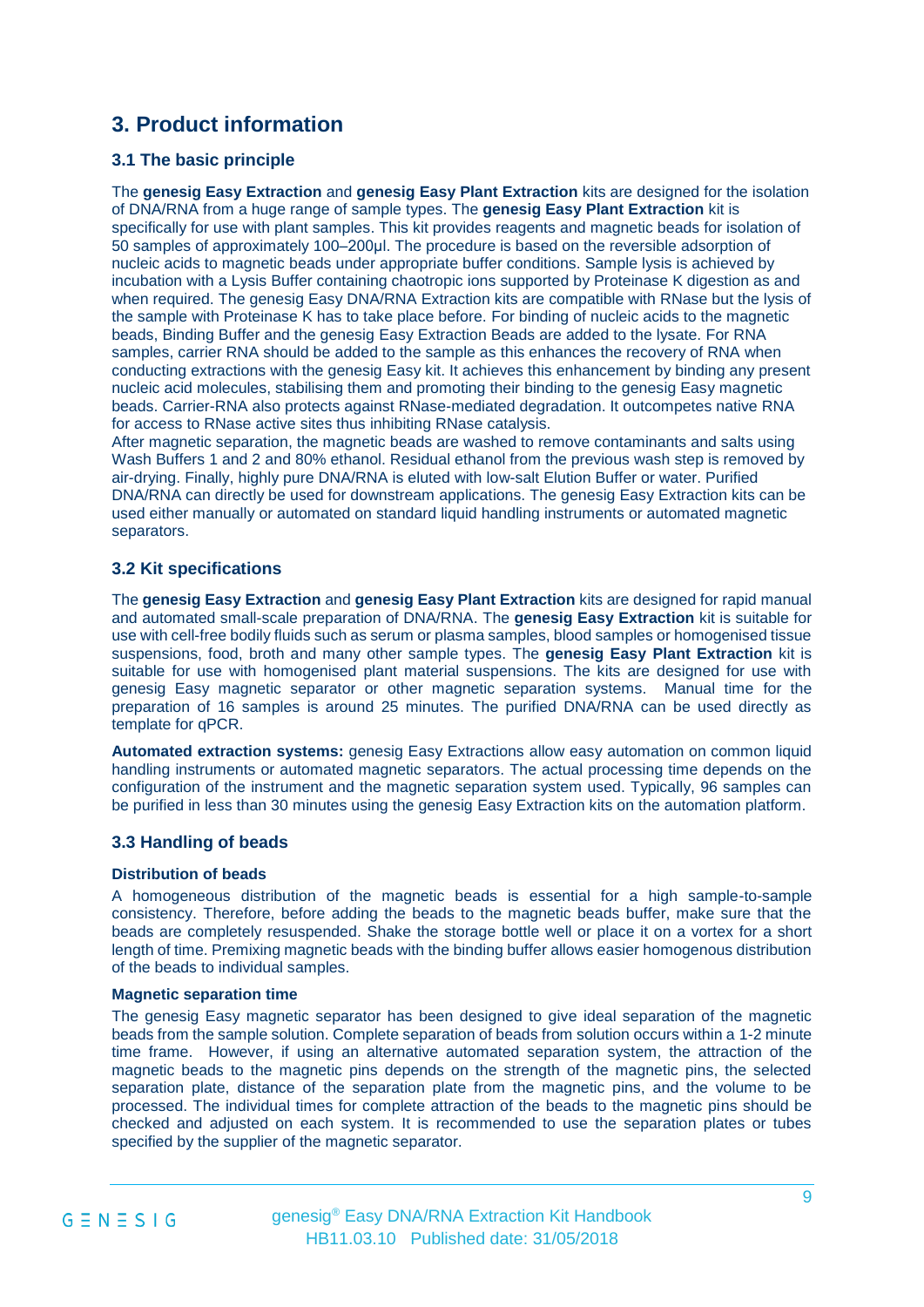## <span id="page-8-0"></span>**3. Product information**

#### <span id="page-8-1"></span>**3.1 The basic principle**

The **genesig Easy Extraction** and **genesig Easy Plant Extraction** kits are designed for the isolation of DNA/RNA from a huge range of sample types. The **genesig Easy Plant Extraction** kit is specifically for use with plant samples. This kit provides reagents and magnetic beads for isolation of 50 samples of approximately 100–200μl. The procedure is based on the reversible adsorption of nucleic acids to magnetic beads under appropriate buffer conditions. Sample lysis is achieved by incubation with a Lysis Buffer containing chaotropic ions supported by Proteinase K digestion as and when required. The genesig Easy DNA/RNA Extraction kits are compatible with RNase but the lysis of the sample with Proteinase K has to take place before. For binding of nucleic acids to the magnetic beads, Binding Buffer and the genesig Easy Extraction Beads are added to the lysate. For RNA samples, carrier RNA should be added to the sample as this enhances the recovery of RNA when conducting extractions with the genesig Easy kit. It achieves this enhancement by binding any present nucleic acid molecules, stabilising them and promoting their binding to the genesig Easy magnetic beads. Carrier-RNA also protects against RNase-mediated degradation. It outcompetes native RNA for access to RNase active sites thus inhibiting RNase catalysis.

After magnetic separation, the magnetic beads are washed to remove contaminants and salts using Wash Buffers 1 and 2 and 80% ethanol. Residual ethanol from the previous wash step is removed by air-drying. Finally, highly pure DNA/RNA is eluted with low-salt Elution Buffer or water. Purified DNA/RNA can directly be used for downstream applications. The genesig Easy Extraction kits can be used either manually or automated on standard liquid handling instruments or automated magnetic separators.

#### <span id="page-8-2"></span>**3.2 Kit specifications**

The **genesig Easy Extraction** and **genesig Easy Plant Extraction** kits are designed for rapid manual and automated small-scale preparation of DNA/RNA. The **genesig Easy Extraction** kit is suitable for use with cell-free bodily fluids such as serum or plasma samples, blood samples or homogenised tissue suspensions, food, broth and many other sample types. The **genesig Easy Plant Extraction** kit is suitable for use with homogenised plant material suspensions. The kits are designed for use with genesig Easy magnetic separator or other magnetic separation systems. Manual time for the preparation of 16 samples is around 25 minutes. The purified DNA/RNA can be used directly as template for qPCR.

**Automated extraction systems:** genesig Easy Extractions allow easy automation on common liquid handling instruments or automated magnetic separators. The actual processing time depends on the configuration of the instrument and the magnetic separation system used. Typically, 96 samples can be purified in less than 30 minutes using the genesig Easy Extraction kits on the automation platform.

#### <span id="page-8-3"></span>**3.3 Handling of beads**

#### **Distribution of beads**

A homogeneous distribution of the magnetic beads is essential for a high sample-to-sample consistency. Therefore, before adding the beads to the magnetic beads buffer, make sure that the beads are completely resuspended. Shake the storage bottle well or place it on a vortex for a short length of time. Premixing magnetic beads with the binding buffer allows easier homogenous distribution of the beads to individual samples.

#### **Magnetic separation time**

The genesig Easy magnetic separator has been designed to give ideal separation of the magnetic beads from the sample solution. Complete separation of beads from solution occurs within a 1-2 minute time frame. However, if using an alternative automated separation system, the attraction of the magnetic beads to the magnetic pins depends on the strength of the magnetic pins, the selected separation plate, distance of the separation plate from the magnetic pins, and the volume to be processed. The individual times for complete attraction of the beads to the magnetic pins should be checked and adjusted on each system. It is recommended to use the separation plates or tubes specified by the supplier of the magnetic separator.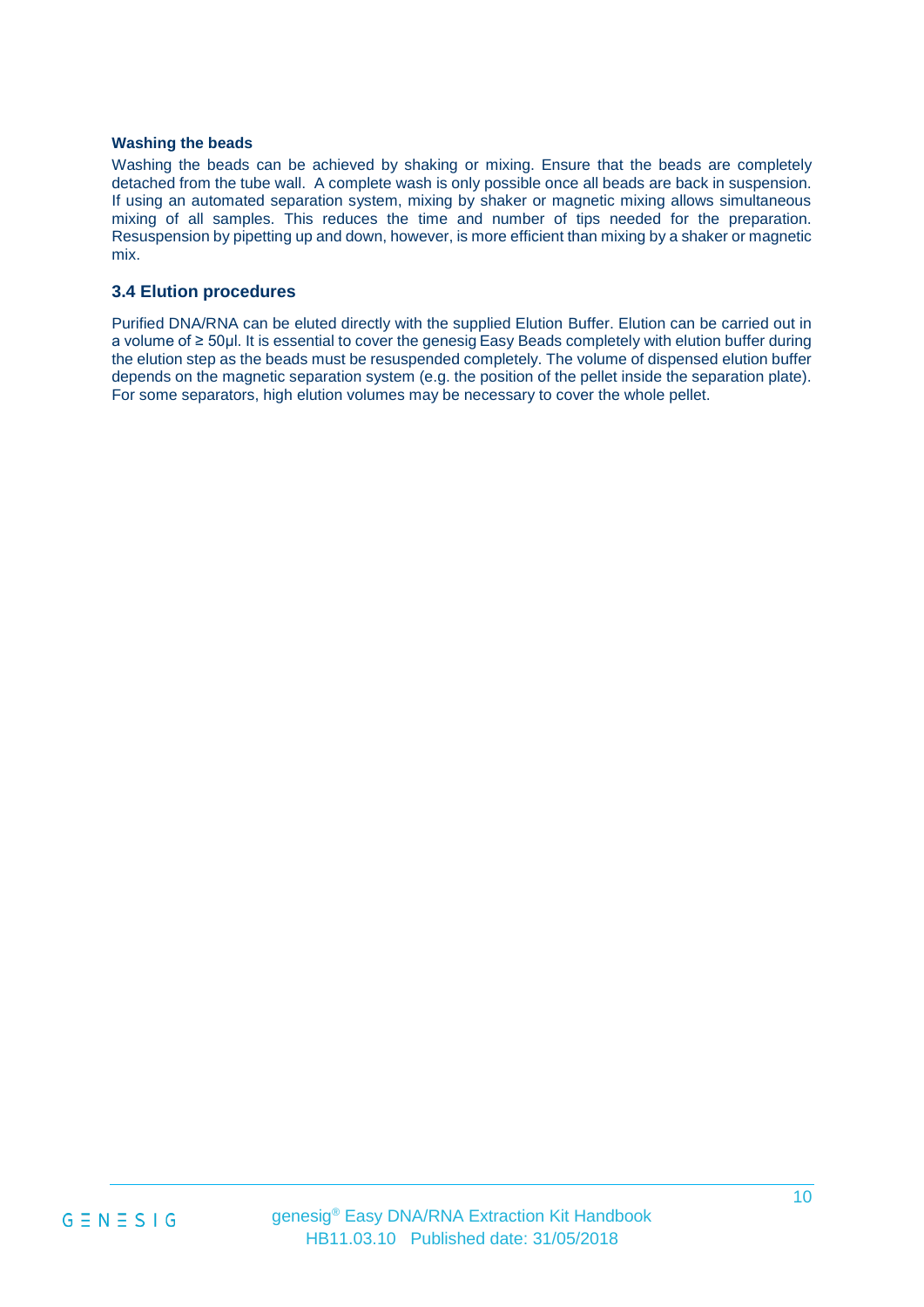#### **Washing the beads**

Washing the beads can be achieved by shaking or mixing. Ensure that the beads are completely detached from the tube wall. A complete wash is only possible once all beads are back in suspension. If using an automated separation system, mixing by shaker or magnetic mixing allows simultaneous mixing of all samples. This reduces the time and number of tips needed for the preparation. Resuspension by pipetting up and down, however, is more efficient than mixing by a shaker or magnetic mix.

#### <span id="page-9-0"></span>**3.4 Elution procedures**

Purified DNA/RNA can be eluted directly with the supplied Elution Buffer. Elution can be carried out in a volume of ≥ 50μl. It is essential to cover the genesig Easy Beads completely with elution buffer during the elution step as the beads must be resuspended completely. The volume of dispensed elution buffer depends on the magnetic separation system (e.g. the position of the pellet inside the separation plate). For some separators, high elution volumes may be necessary to cover the whole pellet.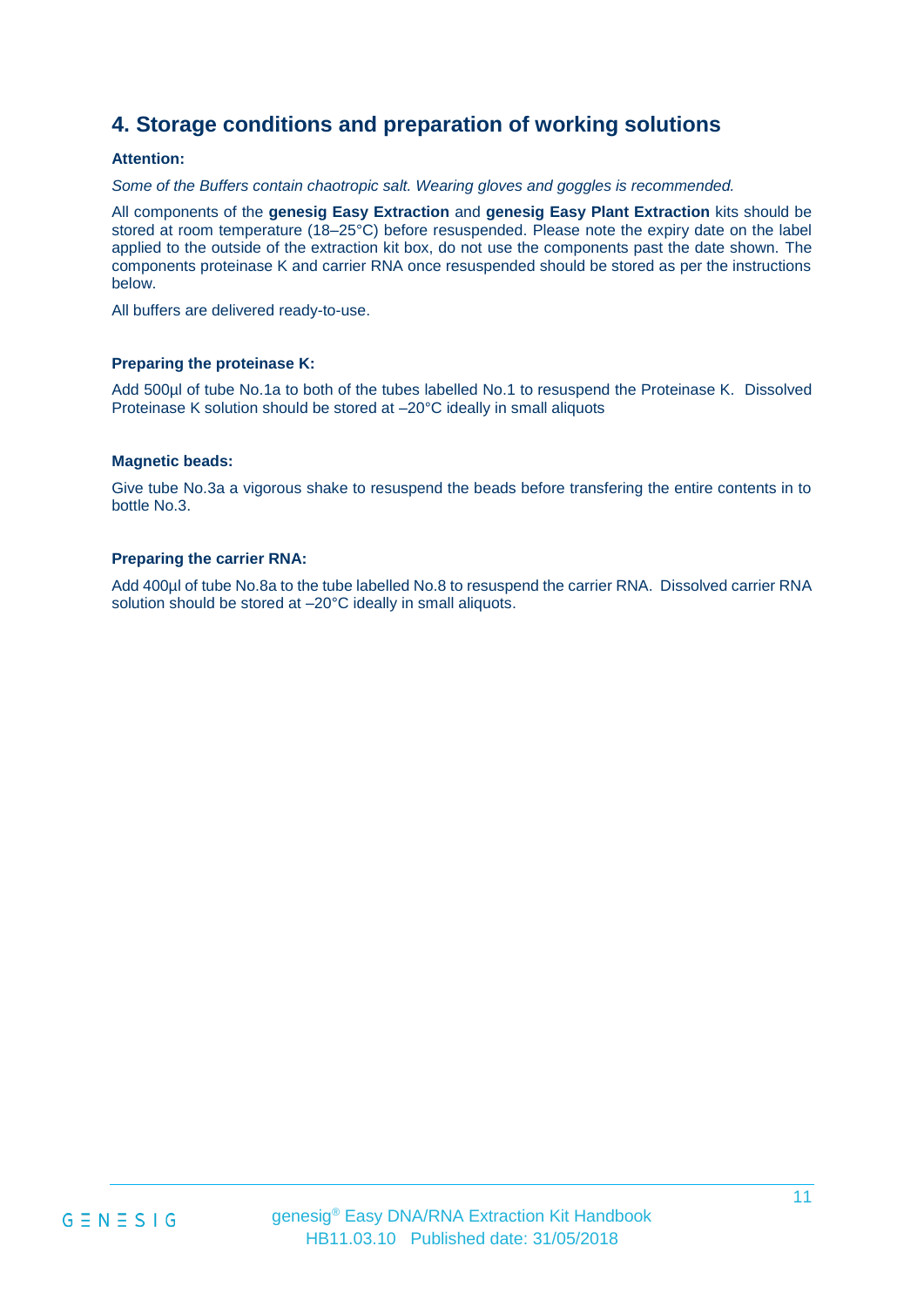## **4. Storage conditions and preparation of working solutions**

#### **Attention:**

*Some of the Buffers contain chaotropic salt. Wearing gloves and goggles is recommended.*

All components of the **genesig Easy Extraction** and **genesig Easy Plant Extraction** kits should be stored at room temperature (18–25°C) before resuspended. Please note the expiry date on the label applied to the outside of the extraction kit box, do not use the components past the date shown. The components proteinase K and carrier RNA once resuspended should be stored as per the instructions below.

All buffers are delivered ready-to-use.

#### **Preparing the proteinase K:**

Add 500µl of tube No.1a to both of the tubes labelled No.1 to resuspend the Proteinase K. Dissolved Proteinase K solution should be stored at –20°C ideally in small aliquots

#### **Magnetic beads:**

Give tube No.3a a vigorous shake to resuspend the beads before transfering the entire contents in to bottle No.3.

#### **Preparing the carrier RNA:**

Add 400µl of tube No.8a to the tube labelled No.8 to resuspend the carrier RNA. Dissolved carrier RNA solution should be stored at –20°C ideally in small aliquots.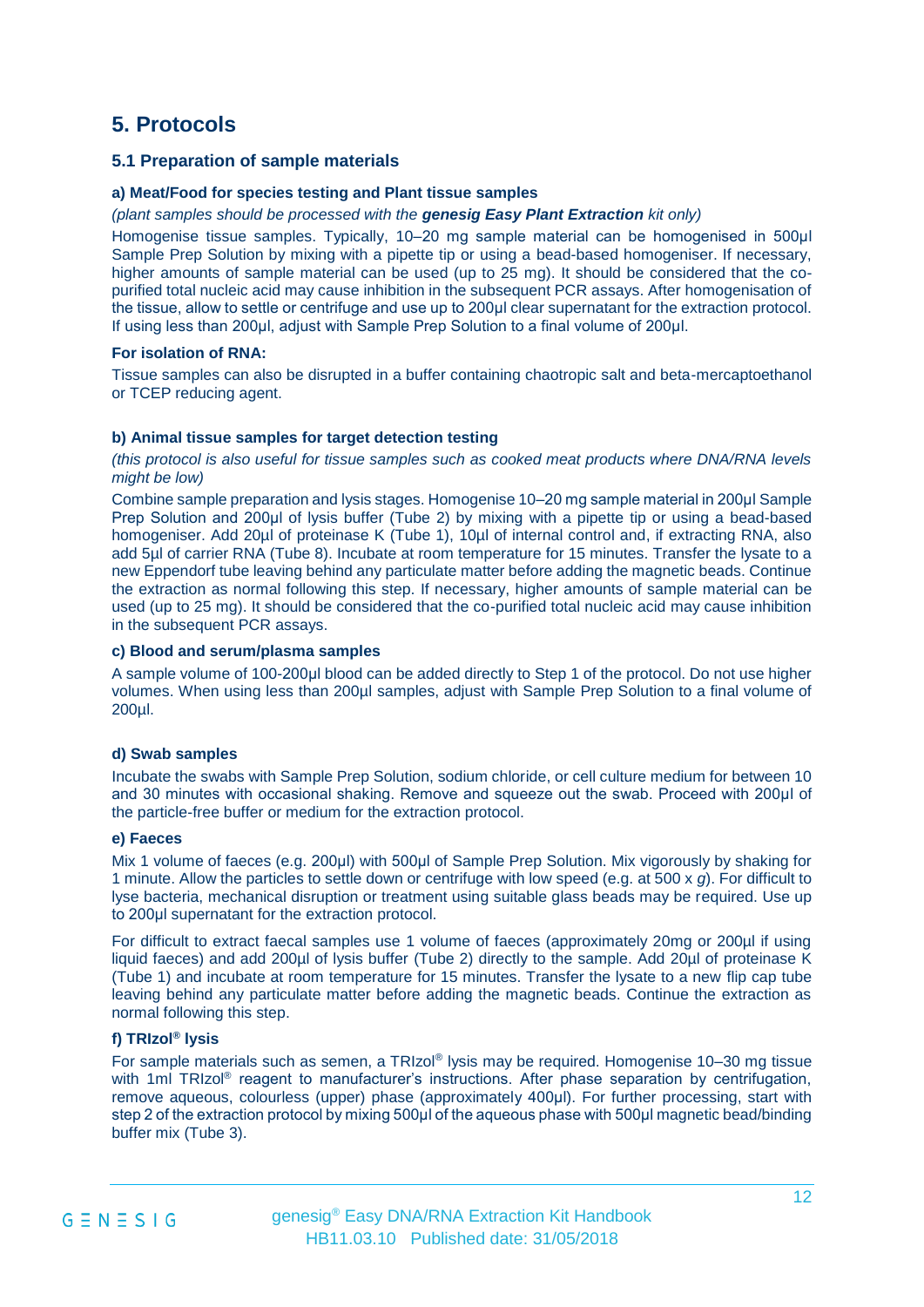### <span id="page-11-0"></span>**5. Protocols**

#### **5.1 Preparation of sample materials**

#### **a) Meat/Food for species testing and Plant tissue samples**

#### *(plant samples should be processed with the genesig Easy Plant Extraction kit only)*

Homogenise tissue samples. Typically, 10–20 mg sample material can be homogenised in 500μl Sample Prep Solution by mixing with a pipette tip or using a bead-based homogeniser. If necessary, higher amounts of sample material can be used (up to 25 mg). It should be considered that the copurified total nucleic acid may cause inhibition in the subsequent PCR assays. After homogenisation of the tissue, allow to settle or centrifuge and use up to 200μl clear supernatant for the extraction protocol. If using less than 200μl, adjust with Sample Prep Solution to a final volume of 200μl.

#### **For isolation of RNA:**

Tissue samples can also be disrupted in a buffer containing chaotropic salt and beta-mercaptoethanol or TCEP reducing agent.

#### **b) Animal tissue samples for target detection testing**

*(this protocol is also useful for tissue samples such as cooked meat products where DNA/RNA levels might be low)*

Combine sample preparation and lysis stages. Homogenise 10–20 mg sample material in 200μl Sample Prep Solution and 200μl of lysis buffer (Tube 2) by mixing with a pipette tip or using a bead-based homogeniser. Add 20µl of proteinase K (Tube 1), 10µl of internal control and, if extracting RNA, also add 5µl of carrier RNA (Tube 8). Incubate at room temperature for 15 minutes. Transfer the lysate to a new Eppendorf tube leaving behind any particulate matter before adding the magnetic beads. Continue the extraction as normal following this step. If necessary, higher amounts of sample material can be used (up to 25 mg). It should be considered that the co-purified total nucleic acid may cause inhibition in the subsequent PCR assays.

#### **c) Blood and serum/plasma samples**

A sample volume of 100-200μl blood can be added directly to Step 1 of the protocol. Do not use higher volumes. When using less than 200µl samples, adjust with Sample Prep Solution to a final volume of 200µl.

#### **d) Swab samples**

Incubate the swabs with Sample Prep Solution, sodium chloride, or cell culture medium for between 10 and 30 minutes with occasional shaking. Remove and squeeze out the swab. Proceed with 200μl of the particle-free buffer or medium for the extraction protocol.

#### **e) Faeces**

Mix 1 volume of faeces (e.g. 200μl) with 500μl of Sample Prep Solution. Mix vigorously by shaking for 1 minute. Allow the particles to settle down or centrifuge with low speed (e.g. at 500 x *g*). For difficult to lyse bacteria, mechanical disruption or treatment using suitable glass beads may be required. Use up to 200μl supernatant for the extraction protocol.

For difficult to extract faecal samples use 1 volume of faeces (approximately 20mg or 200µl if using liquid faeces) and add 200µl of lysis buffer (Tube 2) directly to the sample. Add 20µl of proteinase K (Tube 1) and incubate at room temperature for 15 minutes. Transfer the lysate to a new flip cap tube leaving behind any particulate matter before adding the magnetic beads. Continue the extraction as normal following this step.

#### **f) TRIzol® lysis**

For sample materials such as semen, a TRIzol® lysis may be required. Homogenise 10-30 mg tissue with 1ml TRIzol<sup>®</sup> reagent to manufacturer's instructions. After phase separation by centrifugation, remove aqueous, colourless (upper) phase (approximately 400μl). For further processing, start with step 2 of the extraction protocol by mixing 500ul of the aqueous phase with 500ul magnetic bead/binding buffer mix (Tube 3).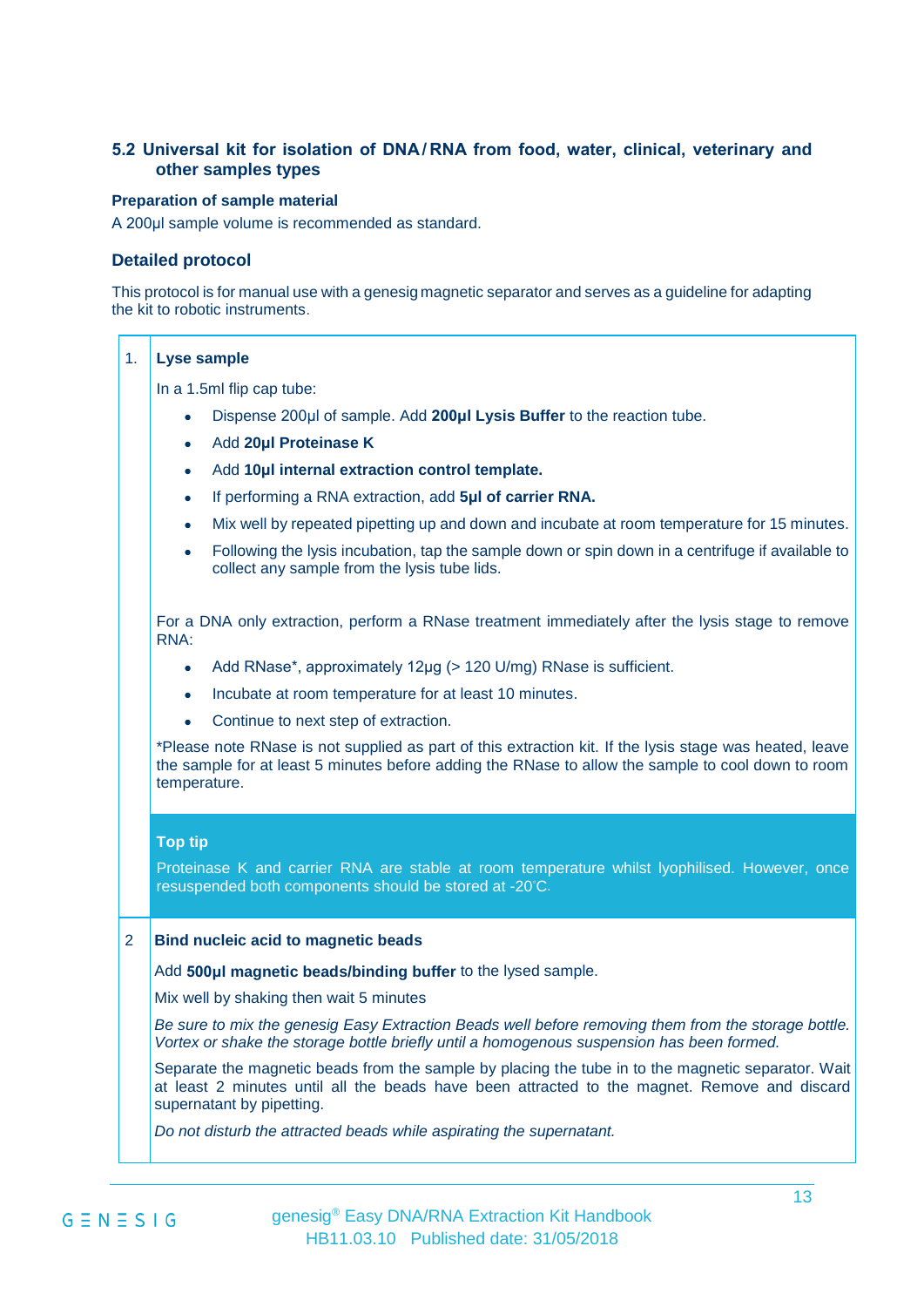#### **5.2 Universal kit for isolation of DNA/RNA from food, water, clinical, veterinary and other samples types**

#### **Preparation of sample material**

A 200μl sample volume is recommended as standard.

#### **Detailed protocol**

This protocol is for manual use with a genesig magnetic separator and serves as a guideline for adapting the kit to robotic instruments.

#### 1. **Lyse sample**

In a 1.5ml flip cap tube:

- Dispense 200μl of sample. Add **200μl Lysis Buffer** to the reaction tube.
- Add **20μl Proteinase K**
- Add **10μl internal extraction control template.**
- If performing a RNA extraction, add **5μl of carrier RNA.**
- Mix well by repeated pipetting up and down and incubate at room temperature for 15 minutes.
- Following the lysis incubation, tap the sample down or spin down in a centrifuge if available to collect any sample from the lysis tube lids.

For a DNA only extraction, perform a RNase treatment immediately after the lysis stage to remove RNA:

- Add RNase\*, approximately 12μg (> 120 U/mg) RNase is sufficient.
- Incubate at room temperature for at least 10 minutes.
- Continue to next step of extraction.

\*Please note RNase is not supplied as part of this extraction kit. If the lysis stage was heated, leave the sample for at least 5 minutes before adding the RNase to allow the sample to cool down to room temperature.

#### **Top tip**

Proteinase K and carrier RNA are stable at room temperature whilst lyophilised. However, once resuspended both components should be stored at -20◦C.

#### 2 **Bind nucleic acid to magnetic beads**

Add **500μl magnetic beads/binding buffer** to the lysed sample.

Mix well by shaking then wait 5 minutes

*Be sure to mix the genesig Easy Extraction Beads well before removing them from the storage bottle. Vortex or shake the storage bottle briefly until a homogenous suspension has been formed.* 

Separate the magnetic beads from the sample by placing the tube in to the magnetic separator. Wait at least 2 minutes until all the beads have been attracted to the magnet. Remove and discard supernatant by pipetting.

*Do not disturb the attracted beads while aspirating the supernatant.*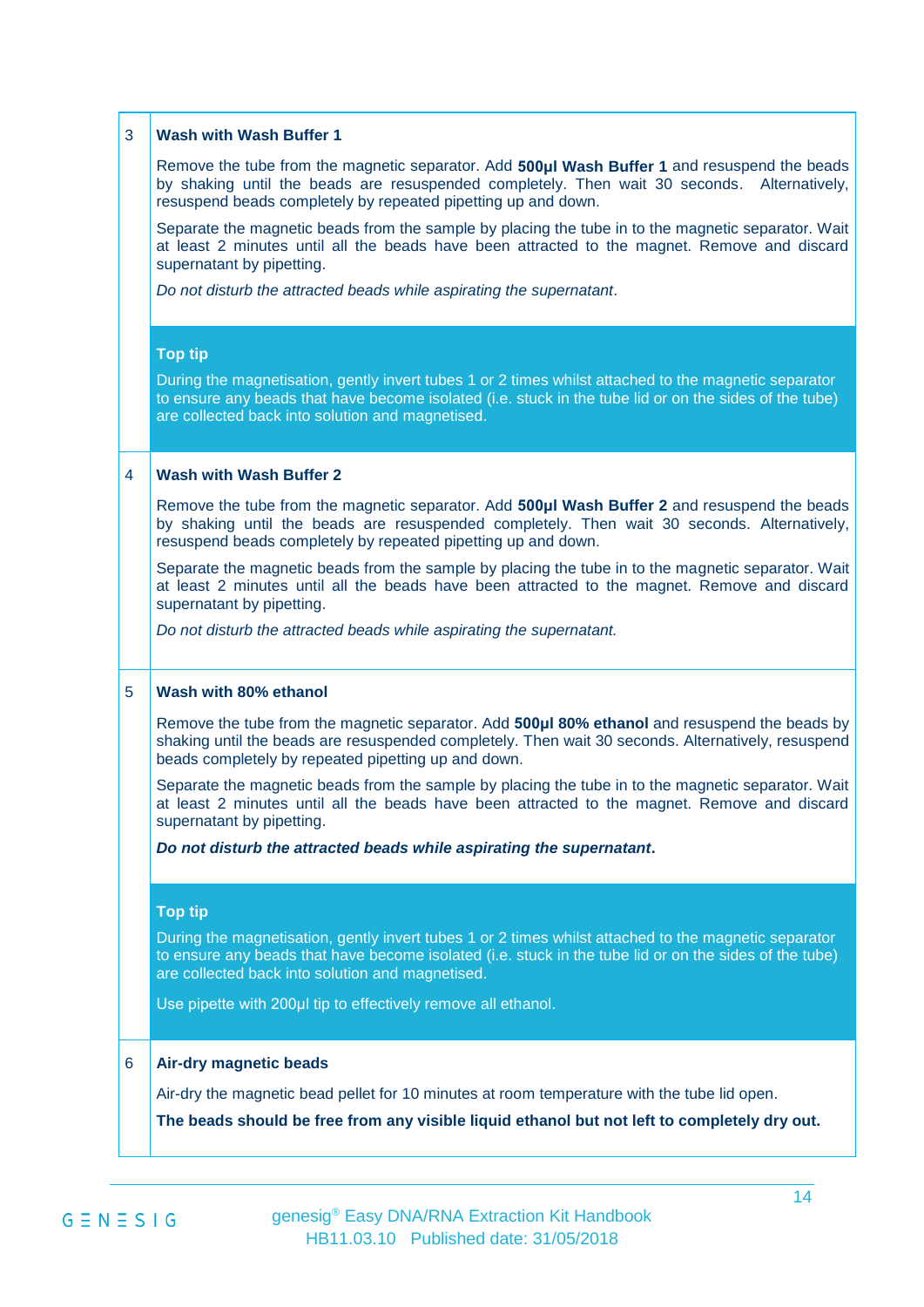| 3 | <b>Wash with Wash Buffer 1</b>                                                                                                                                                                                                                                     |
|---|--------------------------------------------------------------------------------------------------------------------------------------------------------------------------------------------------------------------------------------------------------------------|
|   | Remove the tube from the magnetic separator. Add 500µI Wash Buffer 1 and resuspend the beads<br>by shaking until the beads are resuspended completely. Then wait 30 seconds. Alternatively,<br>resuspend beads completely by repeated pipetting up and down.       |
|   | Separate the magnetic beads from the sample by placing the tube in to the magnetic separator. Wait<br>at least 2 minutes until all the beads have been attracted to the magnet. Remove and discard<br>supernatant by pipetting.                                    |
|   | Do not disturb the attracted beads while aspirating the supernatant.                                                                                                                                                                                               |
|   | <b>Top tip</b>                                                                                                                                                                                                                                                     |
|   | During the magnetisation, gently invert tubes 1 or 2 times whilst attached to the magnetic separator<br>to ensure any beads that have become isolated (i.e. stuck in the tube lid or on the sides of the tube)<br>are collected back into solution and magnetised. |
| 4 | <b>Wash with Wash Buffer 2</b>                                                                                                                                                                                                                                     |
|   | Remove the tube from the magnetic separator. Add 500µI Wash Buffer 2 and resuspend the beads<br>by shaking until the beads are resuspended completely. Then wait 30 seconds. Alternatively,<br>resuspend beads completely by repeated pipetting up and down.       |
|   | Separate the magnetic beads from the sample by placing the tube in to the magnetic separator. Wait<br>at least 2 minutes until all the beads have been attracted to the magnet. Remove and discard<br>supernatant by pipetting.                                    |
|   | Do not disturb the attracted beads while aspirating the supernatant.                                                                                                                                                                                               |
| 5 | Wash with 80% ethanol                                                                                                                                                                                                                                              |
|   | Remove the tube from the magnetic separator. Add 500µl 80% ethanol and resuspend the beads by<br>shaking until the beads are resuspended completely. Then wait 30 seconds. Alternatively, resuspend<br>beads completely by repeated pipetting up and down.         |
|   | Separate the magnetic beads from the sample by placing the tube in to the magnetic separator. Wait<br>at least 2 minutes until all the beads have been attracted to the magnet. Remove and discard<br>supernatant by pipetting.                                    |
|   | Do not disturb the attracted beads while aspirating the supernatant.                                                                                                                                                                                               |
|   | <b>Top tip</b>                                                                                                                                                                                                                                                     |
|   | During the magnetisation, gently invert tubes 1 or 2 times whilst attached to the magnetic separator<br>to ensure any beads that have become isolated (i.e. stuck in the tube lid or on the sides of the tube)<br>are collected back into solution and magnetised. |
|   | Use pipette with 200µl tip to effectively remove all ethanol.                                                                                                                                                                                                      |
| 6 | <b>Air-dry magnetic beads</b>                                                                                                                                                                                                                                      |
|   | Air-dry the magnetic bead pellet for 10 minutes at room temperature with the tube lid open.                                                                                                                                                                        |
|   | The beads should be free from any visible liquid ethanol but not left to completely dry out.                                                                                                                                                                       |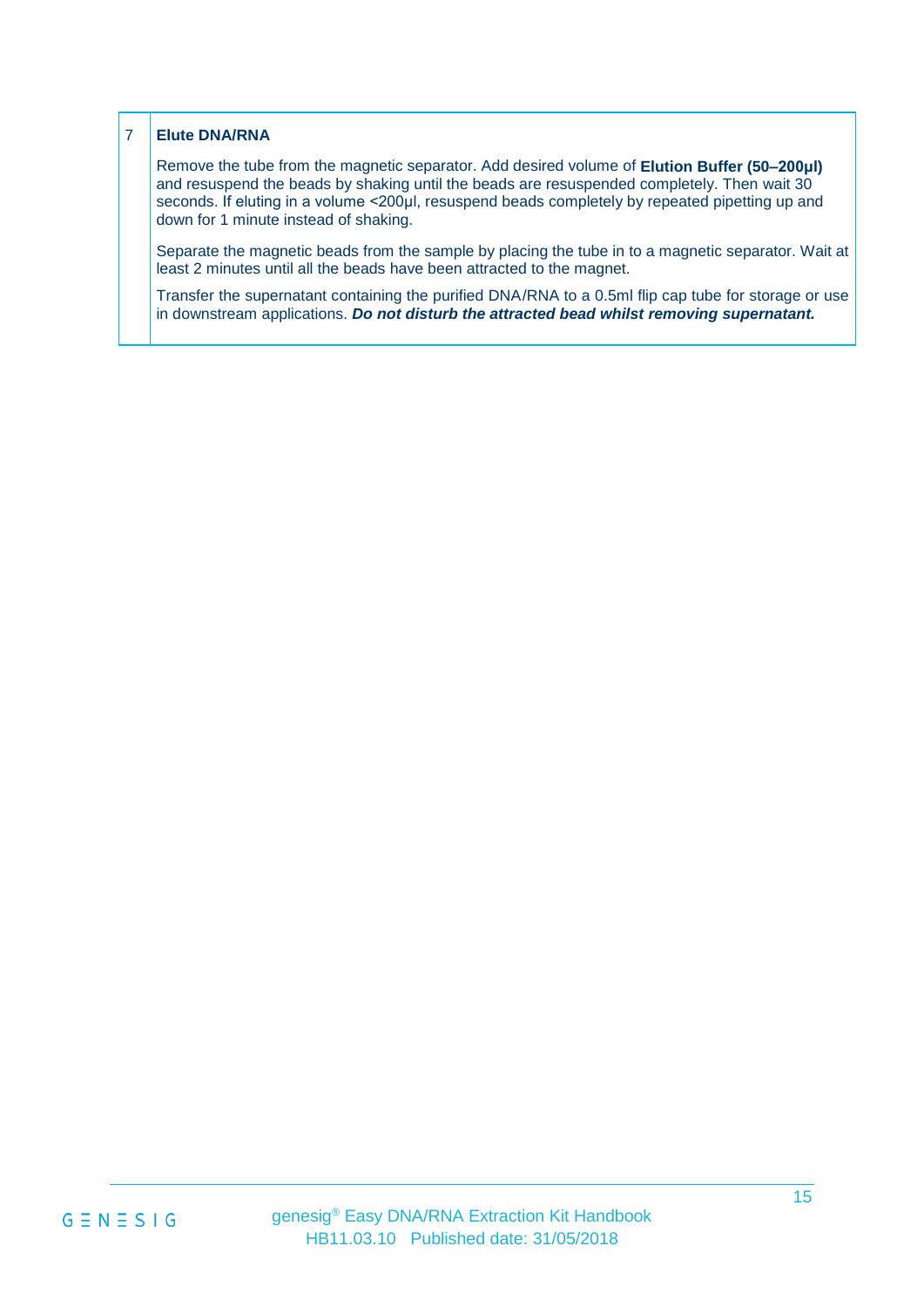#### 7 **Elute DNA/RNA**

Remove the tube from the magnetic separator. Add desired volume of **Elution Buffer (50–200μl)** and resuspend the beads by shaking until the beads are resuspended completely. Then wait 30 seconds. If eluting in a volume <200µl, resuspend beads completely by repeated pipetting up and down for 1 minute instead of shaking.

Separate the magnetic beads from the sample by placing the tube in to a magnetic separator. Wait at least 2 minutes until all the beads have been attracted to the magnet.

Transfer the supernatant containing the purified DNA/RNA to a 0.5ml flip cap tube for storage or use in downstream applications. *Do not disturb the attracted bead whilst removing supernatant.*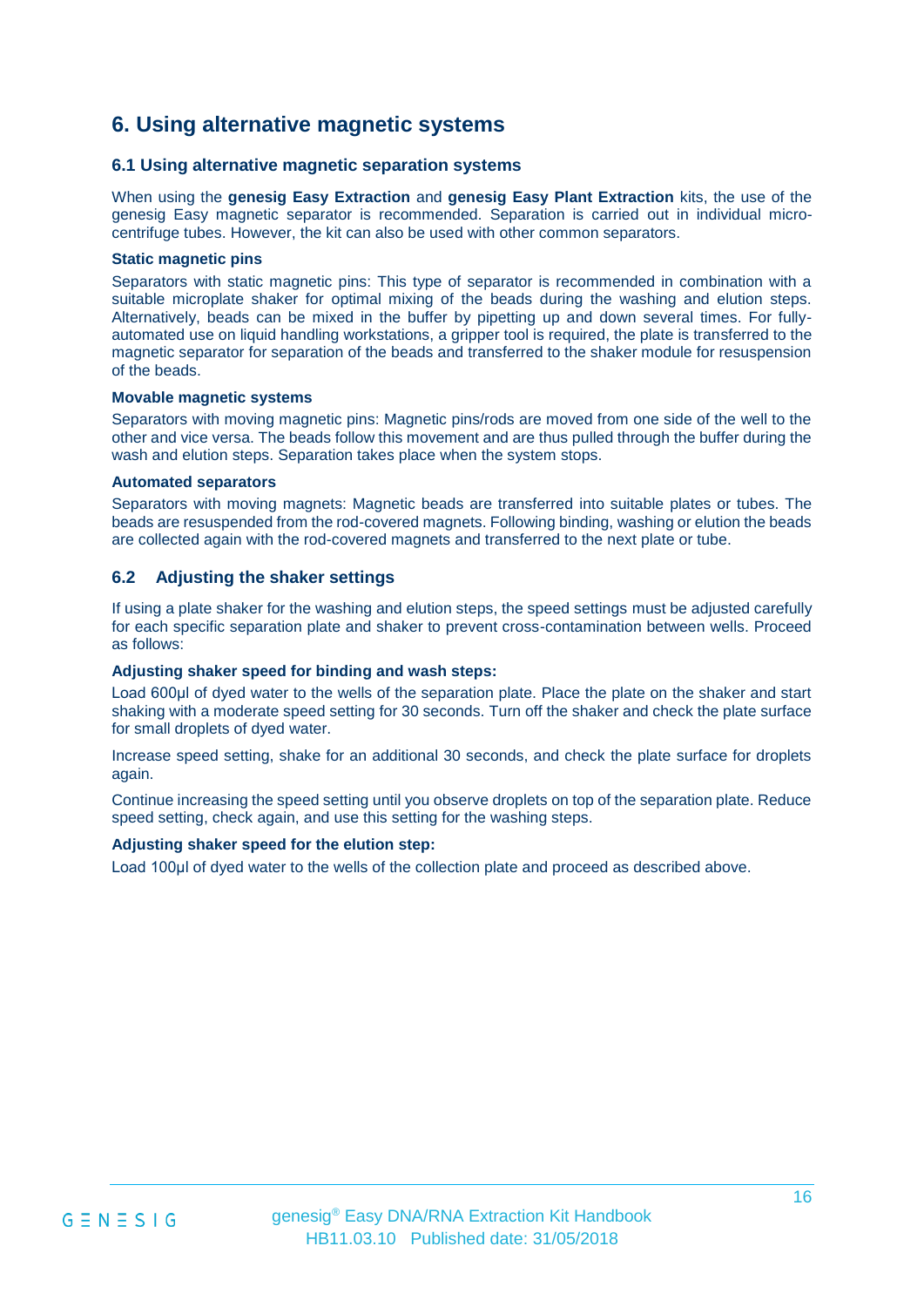### **6. Using alternative magnetic systems**

#### **6.1 Using alternative magnetic separation systems**

When using the **genesig Easy Extraction** and **genesig Easy Plant Extraction** kits, the use of the genesig Easy magnetic separator is recommended. Separation is carried out in individual microcentrifuge tubes. However, the kit can also be used with other common separators.

#### **Static magnetic pins**

Separators with static magnetic pins: This type of separator is recommended in combination with a suitable microplate shaker for optimal mixing of the beads during the washing and elution steps. Alternatively, beads can be mixed in the buffer by pipetting up and down several times. For fullyautomated use on liquid handling workstations, a gripper tool is required, the plate is transferred to the magnetic separator for separation of the beads and transferred to the shaker module for resuspension of the beads.

#### **Movable magnetic systems**

Separators with moving magnetic pins: Magnetic pins/rods are moved from one side of the well to the other and vice versa. The beads follow this movement and are thus pulled through the buffer during the wash and elution steps. Separation takes place when the system stops.

#### **Automated separators**

Separators with moving magnets: Magnetic beads are transferred into suitable plates or tubes. The beads are resuspended from the rod-covered magnets. Following binding, washing or elution the beads are collected again with the rod-covered magnets and transferred to the next plate or tube.

#### **6.2 Adjusting the shaker settings**

If using a plate shaker for the washing and elution steps, the speed settings must be adjusted carefully for each specific separation plate and shaker to prevent cross-contamination between wells. Proceed as follows:

#### **Adjusting shaker speed for binding and wash steps:**

Load 600μl of dyed water to the wells of the separation plate. Place the plate on the shaker and start shaking with a moderate speed setting for 30 seconds. Turn off the shaker and check the plate surface for small droplets of dyed water.

Increase speed setting, shake for an additional 30 seconds, and check the plate surface for droplets again.

Continue increasing the speed setting until you observe droplets on top of the separation plate. Reduce speed setting, check again, and use this setting for the washing steps.

#### **Adjusting shaker speed for the elution step:**

Load 100μl of dyed water to the wells of the collection plate and proceed as described above.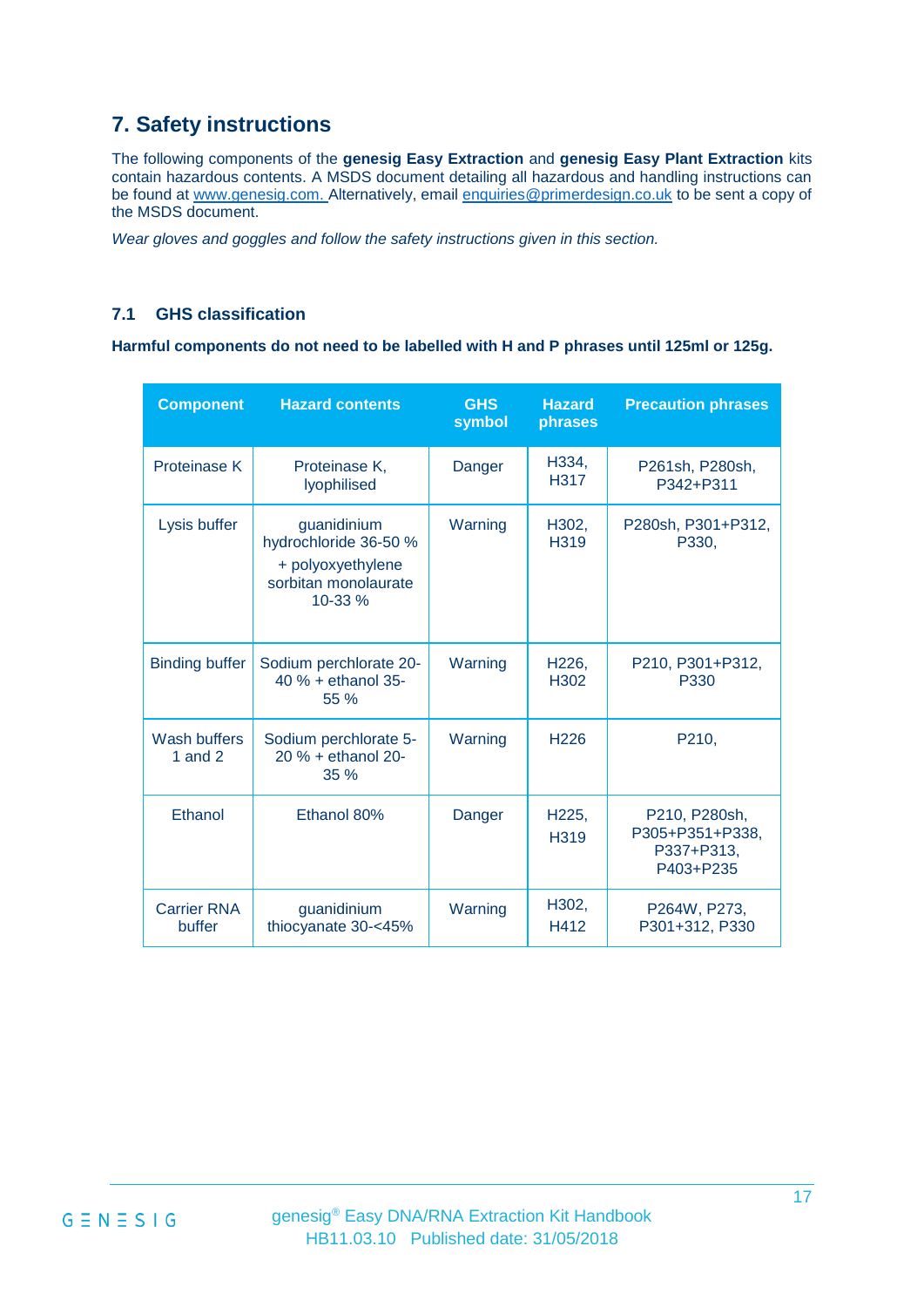## **7. Safety instructions**

The following components of the **genesig Easy Extraction** and **genesig Easy Plant Extraction** kits contain hazardous contents. A MSDS document detailing all hazardous and handling instructions can be found at [www.genesig.com.](http://www.genesig.com/) Alternatively, email [enquiries@primerdesign.co.uk](mailto:enquiries@primerdesign.co.uk) to be sent a copy of the MSDS document.

*Wear gloves and goggles and follow the safety instructions given in this section.*

#### **7.1 GHS classification**

**Harmful components do not need to be labelled with H and P phrases until 125ml or 125g.** 

| <b>Component</b>             | <b>Hazard contents</b>                                                                       | <b>GHS</b><br>symbol | <b>Hazard</b><br>phrases               | <b>Precaution phrases</b>                                   |
|------------------------------|----------------------------------------------------------------------------------------------|----------------------|----------------------------------------|-------------------------------------------------------------|
| <b>Proteinase K</b>          | Proteinase K,<br>lyophilised                                                                 | Danger               | H334,<br>H317                          | P261sh, P280sh,<br>P342+P311                                |
| Lysis buffer                 | guanidinium<br>hydrochloride 36-50 %<br>+ polyoxyethylene<br>sorbitan monolaurate<br>10-33 % | Warning              | H302,<br>H319                          | P280sh, P301+P312,<br>P330,                                 |
| <b>Binding buffer</b>        | Sodium perchlorate 20-<br>40 % + ethanol 35-<br>55 %                                         | Warning              | H <sub>226</sub> ,<br>H <sub>302</sub> | P210, P301+P312,<br>P330                                    |
| Wash buffers<br>1 and $2$    | Sodium perchlorate 5-<br>20 % + ethanol 20-<br>35 %                                          | Warning              | H <sub>226</sub>                       | P210,                                                       |
| Ethanol                      | Ethanol 80%                                                                                  | Danger               | H225,<br>H319                          | P210, P280sh,<br>P305+P351+P338,<br>P337+P313,<br>P403+P235 |
| <b>Carrier RNA</b><br>buffer | guanidinium<br>thiocyanate 30-<45%                                                           | Warning              | H302,<br>H412                          | P264W, P273,<br>P301+312, P330                              |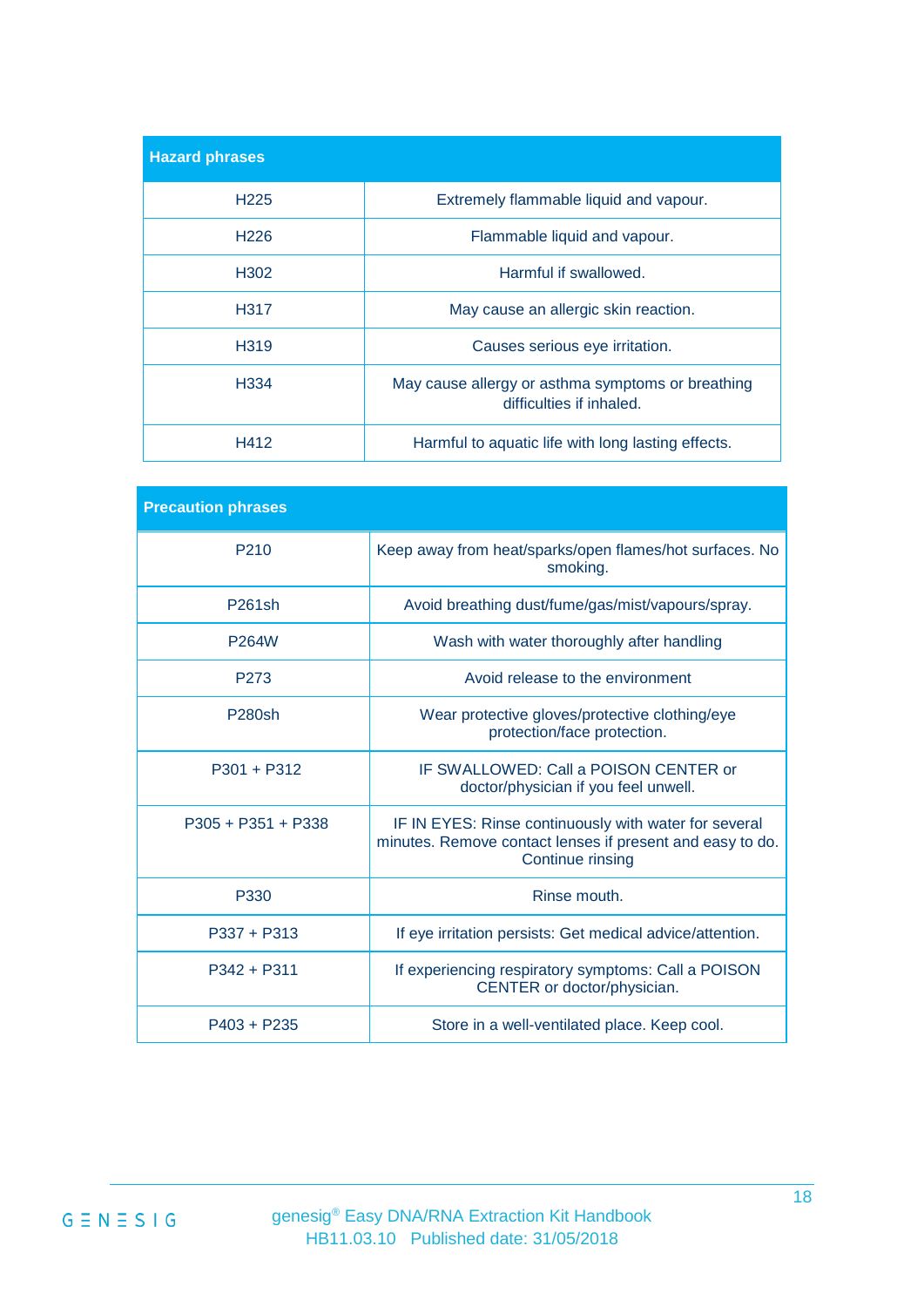| <b>Hazard phrases</b> |                                                                               |
|-----------------------|-------------------------------------------------------------------------------|
| H <sub>225</sub>      | Extremely flammable liquid and vapour.                                        |
| H <sub>226</sub>      | Flammable liquid and vapour.                                                  |
| H <sub>302</sub>      | Harmful if swallowed.                                                         |
| H317                  | May cause an allergic skin reaction.                                          |
| H <sub>319</sub>      | Causes serious eye irritation.                                                |
| H <sub>334</sub>      | May cause allergy or asthma symptoms or breathing<br>difficulties if inhaled. |
| H412                  | Harmful to aquatic life with long lasting effects.                            |

| <b>Precaution phrases</b> |                                                                                                                                               |
|---------------------------|-----------------------------------------------------------------------------------------------------------------------------------------------|
| P <sub>210</sub>          | Keep away from heat/sparks/open flames/hot surfaces. No<br>smoking.                                                                           |
| P261sh                    | Avoid breathing dust/fume/gas/mist/vapours/spray.                                                                                             |
| P264W                     | Wash with water thoroughly after handling                                                                                                     |
| P <sub>273</sub>          | Avoid release to the environment                                                                                                              |
| P280sh                    | Wear protective gloves/protective clothing/eye<br>protection/face protection.                                                                 |
| $P301 + P312$             | IF SWALLOWED: Call a POISON CENTER or<br>doctor/physician if you feel unwell.                                                                 |
| P305 + P351 + P338        | IF IN EYES: Rinse continuously with water for several<br>minutes. Remove contact lenses if present and easy to do.<br><b>Continue rinsing</b> |
| P330                      | Rinse mouth.                                                                                                                                  |
| $P337 + P313$             | If eye irritation persists: Get medical advice/attention.                                                                                     |
| $P342 + P311$             | If experiencing respiratory symptoms: Call a POISON<br>CENTER or doctor/physician.                                                            |
| $P403 + P235$             | Store in a well-ventilated place. Keep cool.                                                                                                  |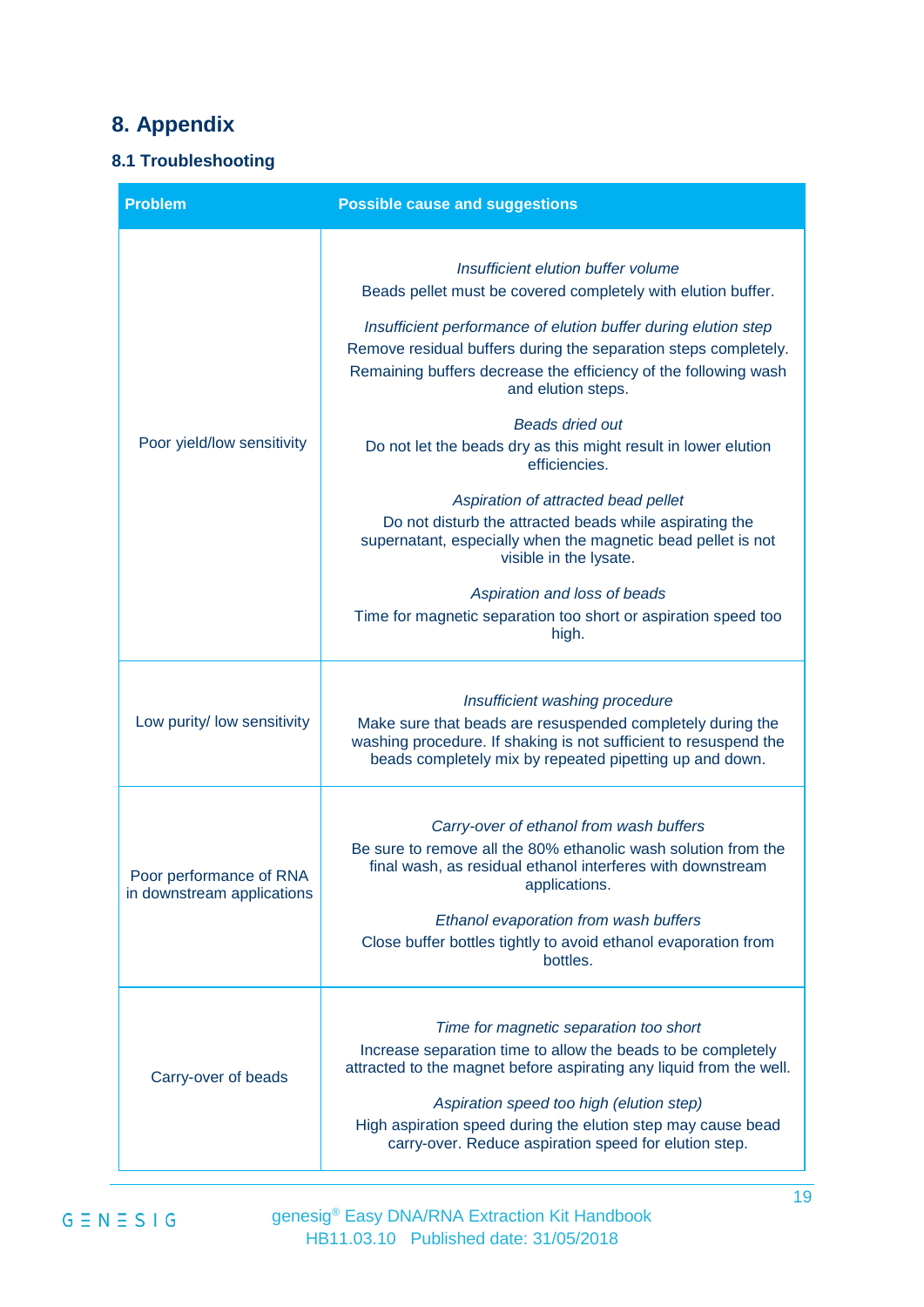## **8. Appendix**

### **8.1 Troubleshooting**

| <b>Problem</b>                                        | <b>Possible cause and suggestions</b>                                                                                                                                                                                                                                                                                                              |
|-------------------------------------------------------|----------------------------------------------------------------------------------------------------------------------------------------------------------------------------------------------------------------------------------------------------------------------------------------------------------------------------------------------------|
|                                                       | Insufficient elution buffer volume<br>Beads pellet must be covered completely with elution buffer.                                                                                                                                                                                                                                                 |
| Poor yield/low sensitivity                            | Insufficient performance of elution buffer during elution step<br>Remove residual buffers during the separation steps completely.<br>Remaining buffers decrease the efficiency of the following wash<br>and elution steps.                                                                                                                         |
|                                                       | <b>Beads dried out</b><br>Do not let the beads dry as this might result in lower elution<br>efficiencies.                                                                                                                                                                                                                                          |
|                                                       | Aspiration of attracted bead pellet<br>Do not disturb the attracted beads while aspirating the<br>supernatant, especially when the magnetic bead pellet is not<br>visible in the lysate.                                                                                                                                                           |
|                                                       | Aspiration and loss of beads<br>Time for magnetic separation too short or aspiration speed too<br>high.                                                                                                                                                                                                                                            |
| Low purity/ low sensitivity                           | Insufficient washing procedure<br>Make sure that beads are resuspended completely during the<br>washing procedure. If shaking is not sufficient to resuspend the<br>beads completely mix by repeated pipetting up and down.                                                                                                                        |
| Poor performance of RNA<br>in downstream applications | Carry-over of ethanol from wash buffers<br>Be sure to remove all the 80% ethanolic wash solution from the<br>final wash, as residual ethanol interferes with downstream<br>applications.<br>Ethanol evaporation from wash buffers<br>Close buffer bottles tightly to avoid ethanol evaporation from<br>bottles.                                    |
| Carry-over of beads                                   | Time for magnetic separation too short<br>Increase separation time to allow the beads to be completely<br>attracted to the magnet before aspirating any liquid from the well.<br>Aspiration speed too high (elution step)<br>High aspiration speed during the elution step may cause bead<br>carry-over. Reduce aspiration speed for elution step. |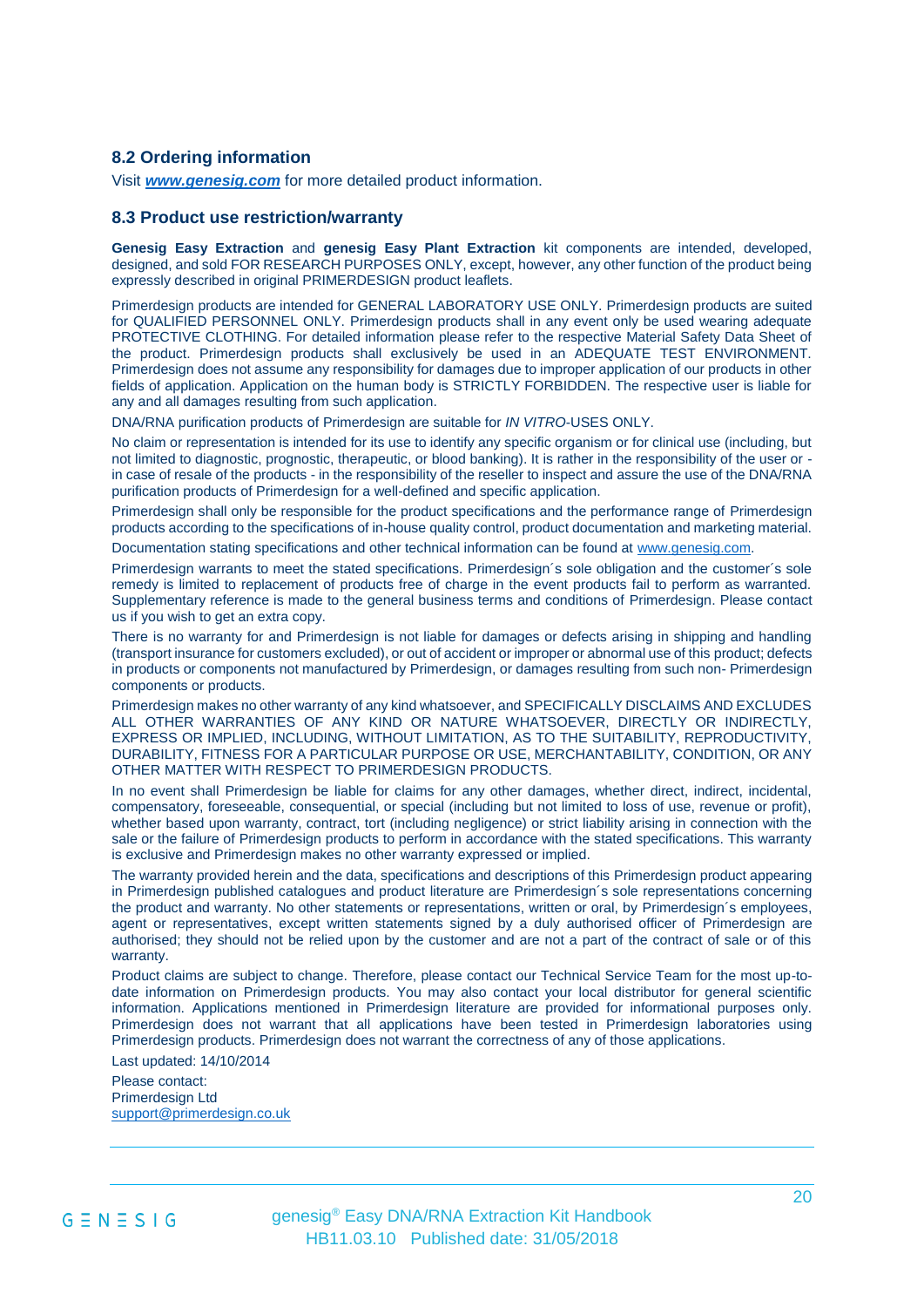#### **8.2 Ordering information**

Visit *[www.genesig.com](http://www.genesig.com/)* for more detailed product information.

#### **8.3 Product use restriction/warranty**

**Genesig Easy Extraction** and **genesig Easy Plant Extraction** kit components are intended, developed, designed, and sold FOR RESEARCH PURPOSES ONLY, except, however, any other function of the product being expressly described in original PRIMERDESIGN product leaflets.

Primerdesign products are intended for GENERAL LABORATORY USE ONLY. Primerdesign products are suited for QUALIFIED PERSONNEL ONLY. Primerdesign products shall in any event only be used wearing adequate PROTECTIVE CLOTHING. For detailed information please refer to the respective Material Safety Data Sheet of the product. Primerdesign products shall exclusively be used in an ADEQUATE TEST ENVIRONMENT. Primerdesign does not assume any responsibility for damages due to improper application of our products in other fields of application. Application on the human body is STRICTLY FORBIDDEN. The respective user is liable for any and all damages resulting from such application.

DNA/RNA purification products of Primerdesign are suitable for *IN VITRO*-USES ONLY.

No claim or representation is intended for its use to identify any specific organism or for clinical use (including, but not limited to diagnostic, prognostic, therapeutic, or blood banking). It is rather in the responsibility of the user or in case of resale of the products - in the responsibility of the reseller to inspect and assure the use of the DNA/RNA purification products of Primerdesign for a well-defined and specific application.

Primerdesign shall only be responsible for the product specifications and the performance range of Primerdesign products according to the specifications of in-house quality control, product documentation and marketing material.

Documentation stating specifications and other technical information can be found a[t www.genesig.com.](http://www.genesig.com/)

Primerdesign warrants to meet the stated specifications. Primerdesign´s sole obligation and the customer´s sole remedy is limited to replacement of products free of charge in the event products fail to perform as warranted. Supplementary reference is made to the general business terms and conditions of Primerdesign. Please contact us if you wish to get an extra copy.

There is no warranty for and Primerdesign is not liable for damages or defects arising in shipping and handling (transport insurance for customers excluded), or out of accident or improper or abnormal use of this product; defects in products or components not manufactured by Primerdesign, or damages resulting from such non- Primerdesign components or products.

Primerdesign makes no other warranty of any kind whatsoever, and SPECIFICALLY DISCLAIMS AND EXCLUDES ALL OTHER WARRANTIES OF ANY KIND OR NATURE WHATSOEVER, DIRECTLY OR INDIRECTLY, EXPRESS OR IMPLIED, INCLUDING, WITHOUT LIMITATION, AS TO THE SUITABILITY, REPRODUCTIVITY, DURABILITY, FITNESS FOR A PARTICULAR PURPOSE OR USE, MERCHANTABILITY, CONDITION, OR ANY OTHER MATTER WITH RESPECT TO PRIMERDESIGN PRODUCTS.

In no event shall Primerdesign be liable for claims for any other damages, whether direct, indirect, incidental, compensatory, foreseeable, consequential, or special (including but not limited to loss of use, revenue or profit), whether based upon warranty, contract, tort (including negligence) or strict liability arising in connection with the sale or the failure of Primerdesign products to perform in accordance with the stated specifications. This warranty is exclusive and Primerdesign makes no other warranty expressed or implied.

The warranty provided herein and the data, specifications and descriptions of this Primerdesign product appearing in Primerdesign published catalogues and product literature are Primerdesign´s sole representations concerning the product and warranty. No other statements or representations, written or oral, by Primerdesign´s employees, agent or representatives, except written statements signed by a duly authorised officer of Primerdesign are authorised; they should not be relied upon by the customer and are not a part of the contract of sale or of this warranty.

Product claims are subject to change. Therefore, please contact our Technical Service Team for the most up-todate information on Primerdesign products. You may also contact your local distributor for general scientific information. Applications mentioned in Primerdesign literature are provided for informational purposes only. Primerdesign does not warrant that all applications have been tested in Primerdesign laboratories using Primerdesign products. Primerdesign does not warrant the correctness of any of those applications.

Last updated: 14/10/2014

Please contact: Primerdesign Ltd [support@primerdesign.co.uk](mailto:support@primerdesign.co.uk)